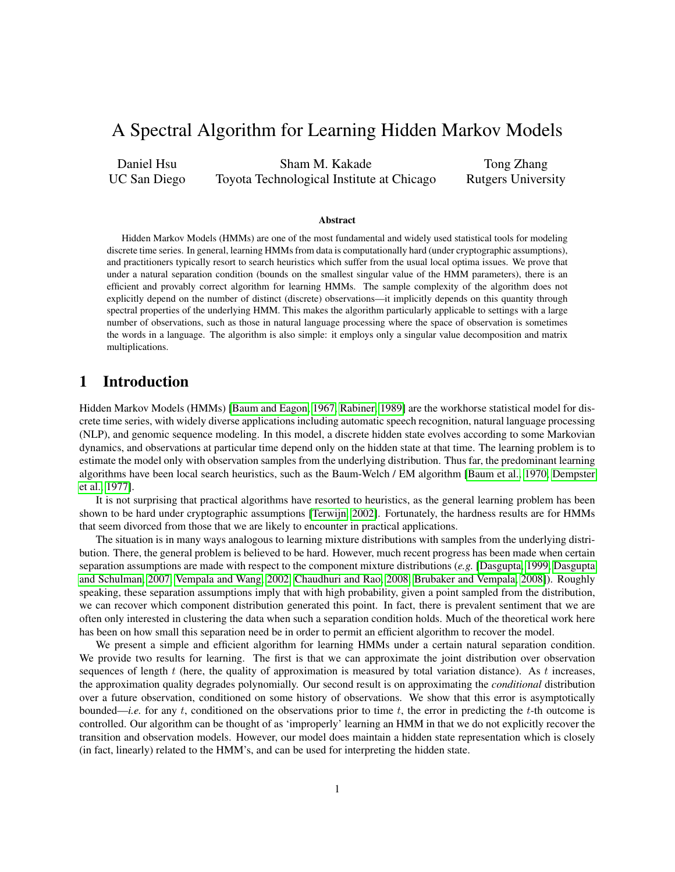# A Spectral Algorithm for Learning Hidden Markov Models

Daniel Hsu UC San Diego

Sham M. Kakade Toyota Technological Institute at Chicago

Tong Zhang Rutgers University

#### Abstract

Hidden Markov Models (HMMs) are one of the most fundamental and widely used statistical tools for modeling discrete time series. In general, learning HMMs from data is computationally hard (under cryptographic assumptions), and practitioners typically resort to search heuristics which suffer from the usual local optima issues. We prove that under a natural separation condition (bounds on the smallest singular value of the HMM parameters), there is an efficient and provably correct algorithm for learning HMMs. The sample complexity of the algorithm does not explicitly depend on the number of distinct (discrete) observations—it implicitly depends on this quantity through spectral properties of the underlying HMM. This makes the algorithm particularly applicable to settings with a large number of observations, such as those in natural language processing where the space of observation is sometimes the words in a language. The algorithm is also simple: it employs only a singular value decomposition and matrix multiplications.

# 1 Introduction

Hidden Markov Models (HMMs) [\[Baum and Eagon, 1967,](#page-19-0) [Rabiner, 1989\]](#page-20-0) are the workhorse statistical model for discrete time series, with widely diverse applications including automatic speech recognition, natural language processing (NLP), and genomic sequence modeling. In this model, a discrete hidden state evolves according to some Markovian dynamics, and observations at particular time depend only on the hidden state at that time. The learning problem is to estimate the model only with observation samples from the underlying distribution. Thus far, the predominant learning algorithms have been local search heuristics, such as the Baum-Welch / EM algorithm [\[Baum et al., 1970,](#page-19-1) [Dempster](#page-19-2) [et al., 1977\]](#page-19-2).

It is not surprising that practical algorithms have resorted to heuristics, as the general learning problem has been shown to be hard under cryptographic assumptions [\[Terwijn, 2002\]](#page-20-1). Fortunately, the hardness results are for HMMs that seem divorced from those that we are likely to encounter in practical applications.

The situation is in many ways analogous to learning mixture distributions with samples from the underlying distribution. There, the general problem is believed to be hard. However, much recent progress has been made when certain separation assumptions are made with respect to the component mixture distributions (*e.g.* [\[Dasgupta, 1999,](#page-19-3) [Dasgupta](#page-19-4) [and Schulman, 2007,](#page-19-4) [Vempala and Wang, 2002,](#page-20-2) [Chaudhuri and Rao, 2008,](#page-19-5) [Brubaker and Vempala, 2008\]](#page-19-6)). Roughly speaking, these separation assumptions imply that with high probability, given a point sampled from the distribution, we can recover which component distribution generated this point. In fact, there is prevalent sentiment that we are often only interested in clustering the data when such a separation condition holds. Much of the theoretical work here has been on how small this separation need be in order to permit an efficient algorithm to recover the model.

We present a simple and efficient algorithm for learning HMMs under a certain natural separation condition. We provide two results for learning. The first is that we can approximate the joint distribution over observation sequences of length  $t$  (here, the quality of approximation is measured by total variation distance). As  $t$  increases, the approximation quality degrades polynomially. Our second result is on approximating the *conditional* distribution over a future observation, conditioned on some history of observations. We show that this error is asymptotically bounded—*i.e.* for any t, conditioned on the observations prior to time t, the error in predicting the t-th outcome is controlled. Our algorithm can be thought of as 'improperly' learning an HMM in that we do not explicitly recover the transition and observation models. However, our model does maintain a hidden state representation which is closely (in fact, linearly) related to the HMM's, and can be used for interpreting the hidden state.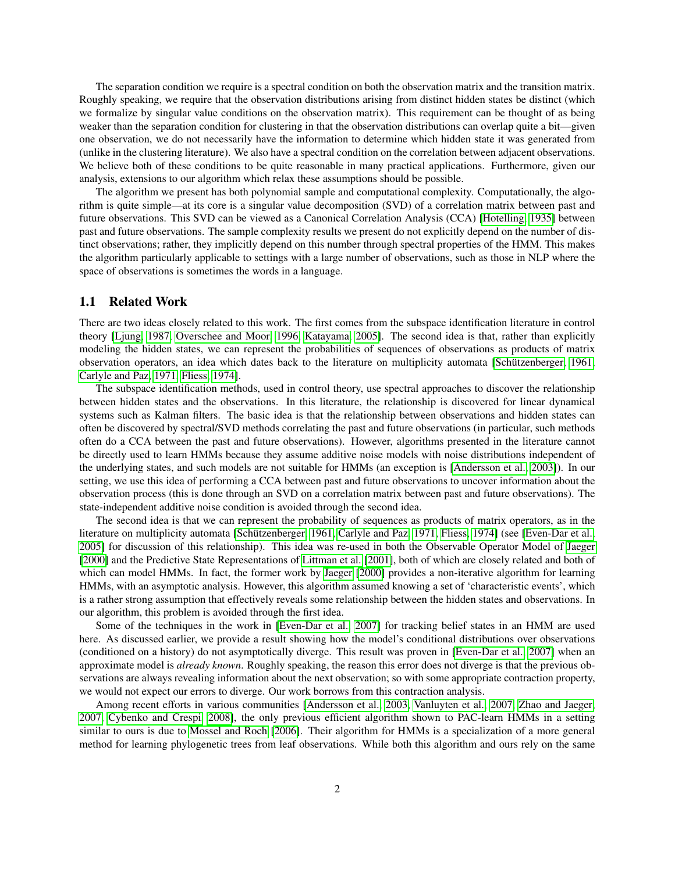The separation condition we require is a spectral condition on both the observation matrix and the transition matrix. Roughly speaking, we require that the observation distributions arising from distinct hidden states be distinct (which we formalize by singular value conditions on the observation matrix). This requirement can be thought of as being weaker than the separation condition for clustering in that the observation distributions can overlap quite a bit—given one observation, we do not necessarily have the information to determine which hidden state it was generated from (unlike in the clustering literature). We also have a spectral condition on the correlation between adjacent observations. We believe both of these conditions to be quite reasonable in many practical applications. Furthermore, given our analysis, extensions to our algorithm which relax these assumptions should be possible.

The algorithm we present has both polynomial sample and computational complexity. Computationally, the algorithm is quite simple—at its core is a singular value decomposition (SVD) of a correlation matrix between past and future observations. This SVD can be viewed as a Canonical Correlation Analysis (CCA) [\[Hotelling, 1935\]](#page-20-3) between past and future observations. The sample complexity results we present do not explicitly depend on the number of distinct observations; rather, they implicitly depend on this number through spectral properties of the HMM. This makes the algorithm particularly applicable to settings with a large number of observations, such as those in NLP where the space of observations is sometimes the words in a language.

### 1.1 Related Work

There are two ideas closely related to this work. The first comes from the subspace identification literature in control theory [\[Ljung, 1987,](#page-20-4) [Overschee and Moor, 1996,](#page-20-5) [Katayama, 2005\]](#page-20-6). The second idea is that, rather than explicitly modeling the hidden states, we can represent the probabilities of sequences of observations as products of matrix observation operators, an idea which dates back to the literature on multiplicity automata [Schützenberger, 1961, [Carlyle and Paz, 1971,](#page-19-7) [Fliess, 1974\]](#page-20-8).

The subspace identification methods, used in control theory, use spectral approaches to discover the relationship between hidden states and the observations. In this literature, the relationship is discovered for linear dynamical systems such as Kalman filters. The basic idea is that the relationship between observations and hidden states can often be discovered by spectral/SVD methods correlating the past and future observations (in particular, such methods often do a CCA between the past and future observations). However, algorithms presented in the literature cannot be directly used to learn HMMs because they assume additive noise models with noise distributions independent of the underlying states, and such models are not suitable for HMMs (an exception is [\[Andersson et al., 2003\]](#page-19-8)). In our setting, we use this idea of performing a CCA between past and future observations to uncover information about the observation process (this is done through an SVD on a correlation matrix between past and future observations). The state-independent additive noise condition is avoided through the second idea.

The second idea is that we can represent the probability of sequences as products of matrix operators, as in the literature on multiplicity automata [Schützenberger, 1961, [Carlyle and Paz, 1971,](#page-19-7) [Fliess, 1974\]](#page-20-8) (see [\[Even-Dar et al.,](#page-19-9) [2005\]](#page-19-9) for discussion of this relationship). This idea was re-used in both the Observable Operator Model of [Jaeger](#page-20-9) [\[2000\]](#page-20-9) and the Predictive State Representations of [Littman et al.](#page-20-10) [\[2001\]](#page-20-10), both of which are closely related and both of which can model HMMs. In fact, the former work by [Jaeger](#page-20-9) [\[2000\]](#page-20-9) provides a non-iterative algorithm for learning HMMs, with an asymptotic analysis. However, this algorithm assumed knowing a set of 'characteristic events', which is a rather strong assumption that effectively reveals some relationship between the hidden states and observations. In our algorithm, this problem is avoided through the first idea.

Some of the techniques in the work in [\[Even-Dar et al., 2007\]](#page-19-10) for tracking belief states in an HMM are used here. As discussed earlier, we provide a result showing how the model's conditional distributions over observations (conditioned on a history) do not asymptotically diverge. This result was proven in [\[Even-Dar et al., 2007\]](#page-19-10) when an approximate model is *already known*. Roughly speaking, the reason this error does not diverge is that the previous observations are always revealing information about the next observation; so with some appropriate contraction property, we would not expect our errors to diverge. Our work borrows from this contraction analysis.

Among recent efforts in various communities [\[Andersson et al., 2003,](#page-19-8) [Vanluyten et al., 2007,](#page-20-11) [Zhao and Jaeger,](#page-20-12) [2007,](#page-20-12) [Cybenko and Crespi, 2008\]](#page-19-11), the only previous efficient algorithm shown to PAC-learn HMMs in a setting similar to ours is due to [Mossel and Roch](#page-20-13) [\[2006\]](#page-20-13). Their algorithm for HMMs is a specialization of a more general method for learning phylogenetic trees from leaf observations. While both this algorithm and ours rely on the same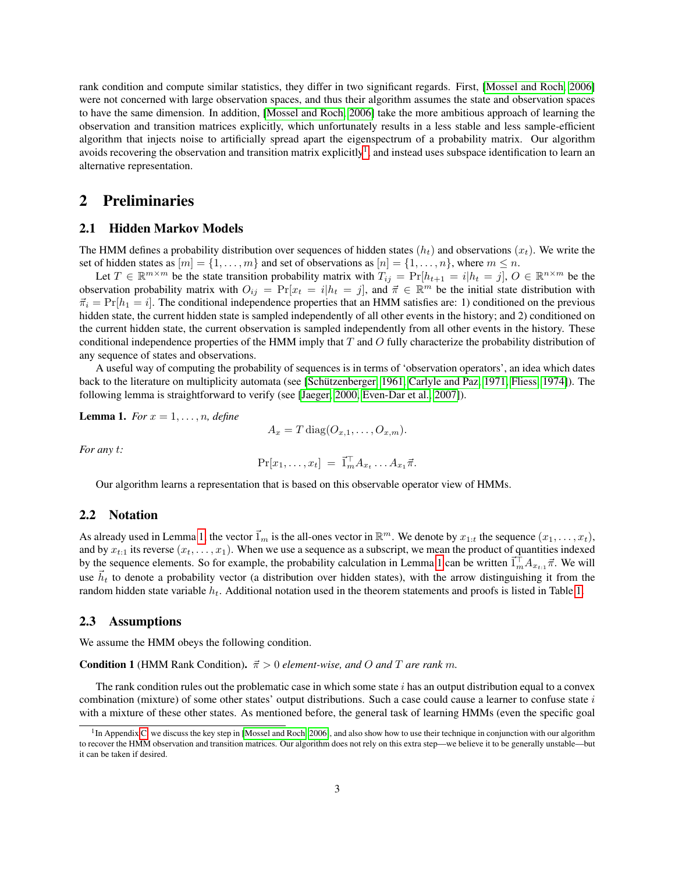rank condition and compute similar statistics, they differ in two significant regards. First, [\[Mossel and Roch, 2006\]](#page-20-13) were not concerned with large observation spaces, and thus their algorithm assumes the state and observation spaces to have the same dimension. In addition, [\[Mossel and Roch, 2006\]](#page-20-13) take the more ambitious approach of learning the observation and transition matrices explicitly, which unfortunately results in a less stable and less sample-efficient algorithm that injects noise to artificially spread apart the eigenspectrum of a probability matrix. Our algorithm avoids recovering the observation and transition matrix explicitly<sup>[1](#page-2-0)</sup>, and instead uses subspace identification to learn an alternative representation.

# 2 Preliminaries

## 2.1 Hidden Markov Models

The HMM defines a probability distribution over sequences of hidden states  $(h_t)$  and observations  $(x_t)$ . We write the set of hidden states as  $[m] = \{1, \ldots, m\}$  and set of observations as  $[n] = \{1, \ldots, n\}$ , where  $m \leq n$ .

Let  $T \in \mathbb{R}^{m \times m}$  be the state transition probability matrix with  $T_{ij} = \Pr[h_{t+1} = i | h_t = j], O \in \mathbb{R}^{n \times m}$  be the observation probability matrix with  $O_{ij} = \Pr[x_t = i | h_t = j]$ , and  $\vec{\pi} \in \mathbb{R}^m$  be the initial state distribution with  $\vec{\pi}_i = \Pr[h_1 = i]$ . The conditional independence properties that an HMM satisfies are: 1) conditioned on the previous hidden state, the current hidden state is sampled independently of all other events in the history; and 2) conditioned on the current hidden state, the current observation is sampled independently from all other events in the history. These conditional independence properties of the HMM imply that  $T$  and  $O$  fully characterize the probability distribution of any sequence of states and observations.

A useful way of computing the probability of sequences is in terms of 'observation operators', an idea which dates back to the literature on multiplicity automata (see [Schützenberger, 1961, [Carlyle and Paz, 1971,](#page-19-7) [Fliess, 1974\]](#page-20-8)). The following lemma is straightforward to verify (see [\[Jaeger, 2000,](#page-20-9) [Even-Dar et al., 2007\]](#page-19-10)).

<span id="page-2-1"></span>**Lemma 1.** *For*  $x = 1, \ldots, n$ *, define* 

$$
A_x = T \operatorname{diag}(O_{x,1}, \ldots, O_{x,m}).
$$

*For any* t*:*

$$
\Pr[x_1,\ldots,x_t] = \vec{1}_m^\top A_{x_t} \ldots A_{x_1} \vec{\pi}.
$$

Our algorithm learns a representation that is based on this observable operator view of HMMs.

# 2.2 Notation

As already used in Lemma [1,](#page-2-1) the vector  $\vec{1}_m$  is the all-ones vector in  $\mathbb{R}^m$ . We denote by  $x_{1:t}$  the sequence  $(x_1, \ldots, x_t)$ , and by  $x_{t:1}$  its reverse  $(x_t, \ldots, x_1)$ . When we use a sequence as a subscript, we mean the product of quantities indexed by the sequence elements. So for example, the probability calculation in Lemma [1](#page-2-1) can be written  $\vec{1}_m^{\dagger} A_{x_{t,1}} \vec{\pi}$ . We will use  $\tilde{h}_t$  to denote a probability vector (a distribution over hidden states), with the arrow distinguishing it from the random hidden state variable  $h_t$ . Additional notation used in the theorem statements and proofs is listed in Table [1.](#page-10-0)

#### 2.3 Assumptions

<span id="page-2-2"></span>We assume the HMM obeys the following condition.

**Condition 1** (HMM Rank Condition).  $\vec{\pi} > 0$  element-wise, and O and T are rank m.

The rank condition rules out the problematic case in which some state  $i$  has an output distribution equal to a convex combination (mixture) of some other states' output distributions. Such a case could cause a learner to confuse state  $i$ with a mixture of these other states. As mentioned before, the general task of learning HMMs (even the specific goal

<span id="page-2-0"></span><sup>&</sup>lt;sup>1</sup>In Appendix [C,](#page-22-0) we discuss the key step in [\[Mossel and Roch, 2006\]](#page-20-13), and also show how to use their technique in conjunction with our algorithm to recover the HMM observation and transition matrices. Our algorithm does not rely on this extra step—we believe it to be generally unstable—but it can be taken if desired.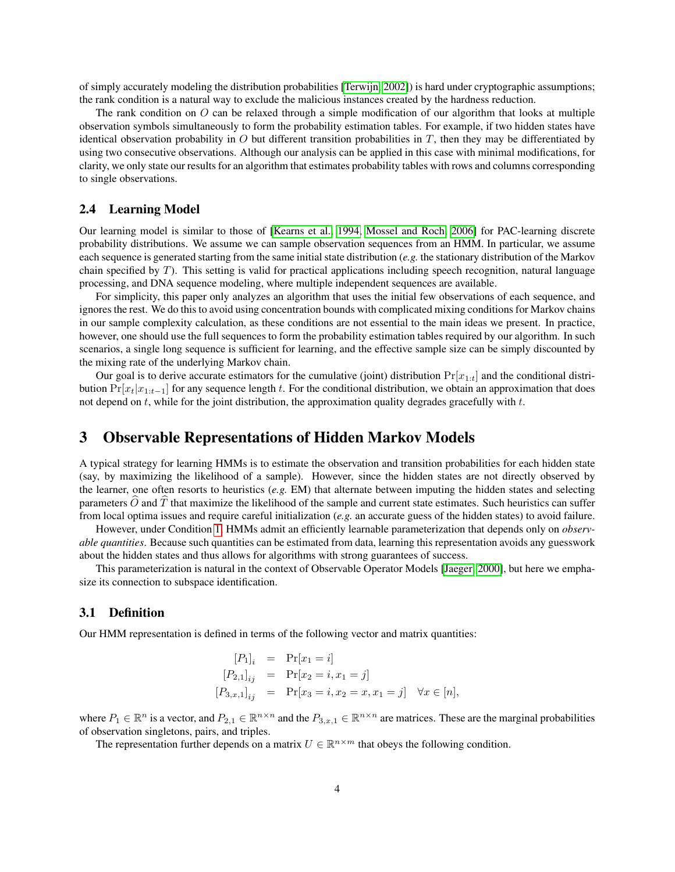of simply accurately modeling the distribution probabilities [\[Terwijn, 2002\]](#page-20-1)) is hard under cryptographic assumptions; the rank condition is a natural way to exclude the malicious instances created by the hardness reduction.

The rank condition on O can be relaxed through a simple modification of our algorithm that looks at multiple observation symbols simultaneously to form the probability estimation tables. For example, if two hidden states have identical observation probability in  $O$  but different transition probabilities in  $T$ , then they may be differentiated by using two consecutive observations. Although our analysis can be applied in this case with minimal modifications, for clarity, we only state our results for an algorithm that estimates probability tables with rows and columns corresponding to single observations.

# 2.4 Learning Model

Our learning model is similar to those of [\[Kearns et al., 1994,](#page-20-14) [Mossel and Roch, 2006\]](#page-20-13) for PAC-learning discrete probability distributions. We assume we can sample observation sequences from an HMM. In particular, we assume each sequence is generated starting from the same initial state distribution (*e.g.* the stationary distribution of the Markov chain specified by  $T$ ). This setting is valid for practical applications including speech recognition, natural language processing, and DNA sequence modeling, where multiple independent sequences are available.

For simplicity, this paper only analyzes an algorithm that uses the initial few observations of each sequence, and ignores the rest. We do this to avoid using concentration bounds with complicated mixing conditions for Markov chains in our sample complexity calculation, as these conditions are not essential to the main ideas we present. In practice, however, one should use the full sequences to form the probability estimation tables required by our algorithm. In such scenarios, a single long sequence is sufficient for learning, and the effective sample size can be simply discounted by the mixing rate of the underlying Markov chain.

Our goal is to derive accurate estimators for the cumulative (joint) distribution  $Pr[x_{1:t}]$  and the conditional distribution  $Pr[x_t|x_{1:t-1}]$  for any sequence length t. For the conditional distribution, we obtain an approximation that does not depend on  $t$ , while for the joint distribution, the approximation quality degrades gracefully with  $t$ .

# 3 Observable Representations of Hidden Markov Models

A typical strategy for learning HMMs is to estimate the observation and transition probabilities for each hidden state (say, by maximizing the likelihood of a sample). However, since the hidden states are not directly observed by the learner, one often resorts to heuristics (*e.g.* EM) that alternate between imputing the hidden states and selecting parameters  $\hat{O}$  and  $\hat{T}$  that maximize the likelihood of the sample and current state estimates. Such heuristics can suffer from local optima issues and require careful initialization (*e.g.* an accurate guess of the hidden states) to avoid failure.

However, under Condition [1,](#page-2-2) HMMs admit an efficiently learnable parameterization that depends only on *observable quantities*. Because such quantities can be estimated from data, learning this representation avoids any guesswork about the hidden states and thus allows for algorithms with strong guarantees of success.

This parameterization is natural in the context of Observable Operator Models [\[Jaeger, 2000\]](#page-20-9), but here we emphasize its connection to subspace identification.

## 3.1 Definition

Our HMM representation is defined in terms of the following vector and matrix quantities:

$$
[P_1]_i = Pr[x_1 = i]
$$
  
\n
$$
[P_{2,1}]_{ij} = Pr[x_2 = i, x_1 = j]
$$
  
\n
$$
[P_{3,x,1}]_{ij} = Pr[x_3 = i, x_2 = x, x_1 = j] \quad \forall x \in [n],
$$

where  $P_1 \in \mathbb{R}^n$  is a vector, and  $P_{2,1} \in \mathbb{R}^{n \times n}$  and the  $P_{3,x,1} \in \mathbb{R}^{n \times n}$  are matrices. These are the marginal probabilities of observation singletons, pairs, and triples.

<span id="page-3-0"></span>The representation further depends on a matrix  $U \in \mathbb{R}^{n \times m}$  that obeys the following condition.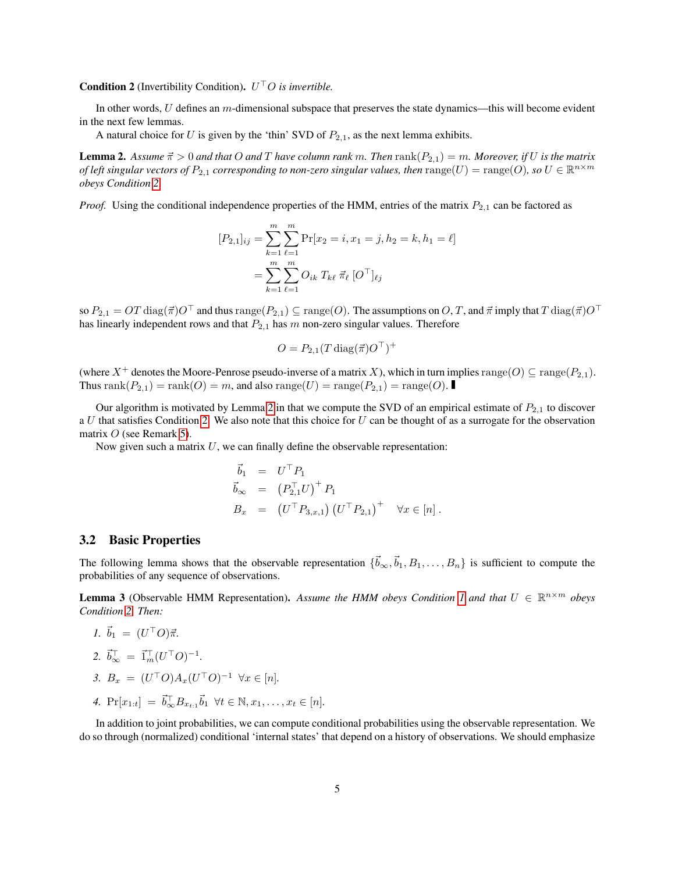**Condition 2** (Invertibility Condition).  $U^{\top}O$  is invertible.

In other words, U defines an m-dimensional subspace that preserves the state dynamics—this will become evident in the next few lemmas.

A natural choice for U is given by the 'thin' SVD of  $P_{2,1}$ , as the next lemma exhibits.

<span id="page-4-0"></span>**Lemma 2.** Assume  $\vec{\pi} > 0$  and that O and T have column rank m. Then rank( $P_{2,1}$ ) = m. Moreover, if U is the matrix *of left singular vectors of*  $P_{2,1}$  *corresponding to non-zero singular values, then*  $\mathrm{range}(U) = \mathrm{range}(O)$ *, so*  $U \in \mathbb{R}^{n \times m}$ *obeys Condition [2.](#page-3-0)*

*Proof.* Using the conditional independence properties of the HMM, entries of the matrix  $P_{2,1}$  can be factored as

$$
[P_{2,1}]_{ij} = \sum_{k=1}^{m} \sum_{\ell=1}^{m} \Pr[x_2 = i, x_1 = j, h_2 = k, h_1 = \ell]
$$

$$
= \sum_{k=1}^{m} \sum_{\ell=1}^{m} O_{ik} T_{k\ell} \ \vec{\pi}_{\ell} \ [O^{\top}]_{\ell j}
$$

so  $P_{2,1} = OT \operatorname{diag}(\vec{\pi})O^\top$  and thus  $\operatorname{range}(P_{2,1}) \subseteq \operatorname{range}(O)$ . The assumptions on  $O, T$ , and  $\vec{\pi}$  imply that  $T \operatorname{diag}(\vec{\pi})O^\top$ has linearly independent rows and that  $P_{2,1}$  has m non-zero singular values. Therefore

$$
O = P_{2,1}(T \operatorname{diag}(\vec{\pi}) O^\top)^+
$$

(where X<sup>+</sup> denotes the Moore-Penrose pseudo-inverse of a matrix X), which in turn implies  $\text{range}(O) \subseteq \text{range}(P_{2,1})$ . Thus rank $(P_{2,1})$  = rank $(O)$  = m, and also range $(U)$  = range $(P_{2,1})$  = range $(O)$ .

Our algorithm is motivated by Lemma [2](#page-4-0) in that we compute the SVD of an empirical estimate of  $P_{2,1}$  to discover a  $U$  that satisfies Condition [2.](#page-3-0) We also note that this choice for  $U$  can be thought of as a surrogate for the observation matrix  $O$  (see Remark [5\)](#page-5-0).

Now given such a matrix  $U$ , we can finally define the observable representation:

$$
\begin{array}{rcl}\n\vec{b}_1 &= U^\top P_1 \\
\vec{b}_\infty &= \left(P_{2,1}^\top U\right)^+ P_1 \\
B_x &= \left(U^\top P_{3,x,1}\right) \left(U^\top P_{2,1}\right)^+ \quad \forall x \in [n]\n\end{array}.
$$

### 3.2 Basic Properties

The following lemma shows that the observable representation  $\{\vec{b}_{\infty}, \vec{b}_1, B_1, \ldots, B_n\}$  is sufficient to compute the probabilities of any sequence of observations.

<span id="page-4-1"></span>**Lemma 3** (Observable HMM Representation). Assume the HMM obeys Condition [1](#page-2-2) and that  $U \in \mathbb{R}^{n \times m}$  obeys *Condition [2.](#page-3-0) Then:*

1. 
$$
\vec{b}_1 = (U^{\top}O)\vec{\pi}
$$
.  
\n2.  $\vec{b}_{\infty}^{\top} = \vec{1}_m^{\top} (U^{\top}O)^{-1}$ .  
\n3.  $B_x = (U^{\top}O)A_x (U^{\top}O)^{-1} \ \forall x \in [n]$ .

4.  $Pr[x_{1:t}] = \vec{b}_{\infty}^{\top} B_{x_{t:1}} \vec{b}_1 \ \forall t \in \mathbb{N}, x_1, \dots, x_t \in [n].$ 

In addition to joint probabilities, we can compute conditional probabilities using the observable representation. We do so through (normalized) conditional 'internal states' that depend on a history of observations. We should emphasize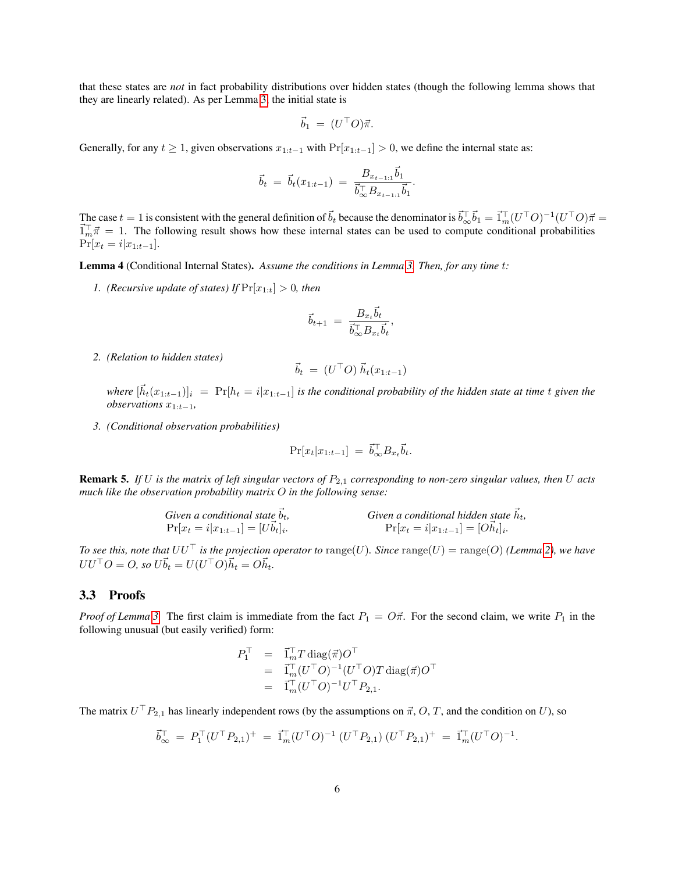that these states are *not* in fact probability distributions over hidden states (though the following lemma shows that they are linearly related). As per Lemma [3,](#page-4-1) the initial state is

$$
\vec{b}_1 = (U^{\top}O)\vec{\pi}.
$$

Generally, for any  $t \ge 1$ , given observations  $x_{1:t-1}$  with  $Pr[x_{1:t-1}] > 0$ , we define the internal state as:

$$
\vec{b}_t = \vec{b}_t(x_{1:t-1}) = \frac{B_{x_{t-1:1}}\vec{b}_1}{\vec{b}_\infty^{\top}B_{x_{t-1:1}}\vec{b}_1}.
$$

The case  $t = 1$  is consistent with the general definition of  $\vec{b}_t$  because the denominator is  $\vec{b}_{\infty}^{\dagger} \vec{b}_1 = \vec{1}_m^{\dagger} (U^{\dagger} O)^{-1} (U^{\dagger} O) \vec{\pi} =$  $\vec{I}_{m}^{\top} \vec{\pi} = 1$ . The following result shows how these internal states can be used to compute conditional probabilities  $Pr[x_t = i | x_{1:t-1}].$ 

<span id="page-5-1"></span>Lemma 4 (Conditional Internal States). *Assume the conditions in Lemma [3.](#page-4-1) Then, for any time* t*:*

*1.* (*Recursive update of states*) If  $Pr[x_{1:t}] > 0$ *, then* 

$$
\vec{b}_{t+1} \ = \ \frac{B_{x_t} \vec{b}_t}{\vec{b}_{\infty}^\top B_{x_t} \vec{b}_t}
$$

,

*2. (Relation to hidden states)*

$$
\vec{b}_t = (U^\top O) \, \vec{h}_t(x_{1:t-1})
$$

 $where \ [\vec{h}_t(x_{1:t-1})]_i = \Pr[h_t = i | x_{1:t-1}]$  *is the conditional probability of the hidden state at time* t *given the observations* x1:t−1*,*

*3. (Conditional observation probabilities)*

$$
\Pr[x_t|x_{1:t-1}] = \vec{b}_{\infty}^{\top} B_{x_t} \vec{b}_t.
$$

<span id="page-5-0"></span>Remark 5. *If U is the matrix of left singular vectors of*  $P_{2,1}$  *corresponding to non-zero singular values, then U acts much like the observation probability matrix* O *in the following sense:*

Given a conditional state 
$$
\vec{b}_t
$$
,  
\n
$$
Pr[x_t = i | x_{1:t-1}] = [U\vec{b}_t]_i.
$$
\nGiven a conditional hidden state  $\vec{h}_t$ ,  
\n
$$
Pr[x_t = i | x_{1:t-1}] = [O\vec{h}_t]_i.
$$

*To see this, note that*  $UU^{\top}$  *is the projection operator to* range(*U*)*. Since* range(*U*) = range(*O*) (*Lemma* [2\)](#page-4-0)*, we have*  $UU^{\top}O = O$ , so  $U\vec{b}_t = U(U^{\top}O)\vec{h}_t = O\vec{h}_t$ .

## 3.3 Proofs

*Proof of Lemma* [3.](#page-4-1) The first claim is immediate from the fact  $P_1 = O\vec{\pi}$ . For the second claim, we write  $P_1$  in the following unusual (but easily verified) form:

$$
P_1^{\top} = \vec{1}_m^{\top} T \operatorname{diag}(\vec{\pi}) O^{\top}
$$
  
= 
$$
\vec{1}_m^{\top} (U^{\top} O)^{-1} (U^{\top} O) T \operatorname{diag}(\vec{\pi}) O^{\top}
$$
  
= 
$$
\vec{1}_m^{\top} (U^{\top} O)^{-1} U^{\top} P_{2,1}.
$$

The matrix  $U^{\top}P_{2,1}$  has linearly independent rows (by the assumptions on  $\vec{\pi}, O, T$ , and the condition on U), so

$$
\vec{b}_{\infty}^{\top} = P_1^{\top} (U^{\top} P_{2,1})^+ = \vec{1}_m^{\top} (U^{\top} O)^{-1} (U^{\top} P_{2,1}) (U^{\top} P_{2,1})^+ = \vec{1}_m^{\top} (U^{\top} O)^{-1}.
$$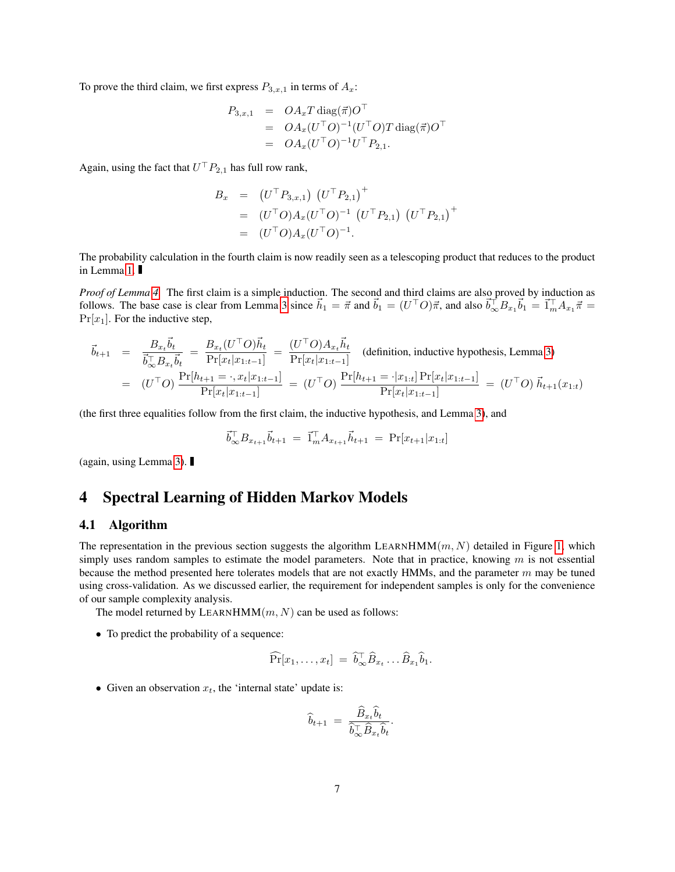To prove the third claim, we first express  $P_{3,x,1}$  in terms of  $A_x$ :

$$
P_{3,x,1} = OA_xT \operatorname{diag}(\vec{\pi})O^{\top}
$$
  
=  $OA_x(U^{\top}O)^{-1}(U^{\top}O)T \operatorname{diag}(\vec{\pi})O^{\top}$   
=  $OA_x(U^{\top}O)^{-1}U^{\top}P_{2,1}.$ 

Again, using the fact that  $U^{\top} P_{2,1}$  has full row rank,

$$
B_x = (U^{\top} P_{3,x,1}) (U^{\top} P_{2,1})^+
$$
  
=  $(U^{\top} O) A_x (U^{\top} O)^{-1} (U^{\top} P_{2,1}) (U^{\top} P_{2,1})^+$   
=  $(U^{\top} O) A_x (U^{\top} O)^{-1}.$ 

The probability calculation in the fourth claim is now readily seen as a telescoping product that reduces to the product in Lemma [1.](#page-2-1)

*Proof of Lemma [4.](#page-5-1)* The first claim is a simple induction. The second and third claims are also proved by induction as follows. The base case is clear from Lemma [3](#page-4-1) since  $\vec{h}_1 = \vec{\pi}$  and  $\vec{b}_1 = (U^{\top}O)\vec{\pi}$ , and also  $\vec{b}_{\infty}^{\top}B_{x_1}\vec{b}_1 = \vec{1}_m^{\top}A_{x_1}\vec{\pi} =$  $Pr[x_1]$ . For the inductive step,

$$
\vec{b}_{t+1} = \frac{B_{x_t} \vec{b}_t}{\vec{b}_{\infty}^{\top} B_{x_t} \vec{b}_t} = \frac{B_{x_t} (U^{\top} O) \vec{h}_t}{\Pr[x_t | x_{1:t-1}]} = \frac{(U^{\top} O) A_{x_t} \vec{h}_t}{\Pr[x_t | x_{1:t-1}]} \quad \text{(definition, inductive hypothesis, Lemma 3)}
$$
\n
$$
= (U^{\top} O) \frac{\Pr[h_{t+1} = \cdot, x_t | x_{1:t-1}]}{\Pr[x_t | x_{1:t-1}]} = (U^{\top} O) \frac{\Pr[h_{t+1} = \cdot | x_{1:t}] \Pr[x_t | x_{1:t-1}]}{\Pr[x_t | x_{1:t-1}]} = (U^{\top} O) \vec{h}_{t+1} (x_{1:t})
$$

(the first three equalities follow from the first claim, the inductive hypothesis, and Lemma [3\)](#page-4-1), and

$$
\vec{b}_{\infty}^{\top} B_{x_{t+1}} \vec{b}_{t+1} = \vec{1}_m^{\top} A_{x_{t+1}} \vec{h}_{t+1} = \Pr[x_{t+1} | x_{1:t}]
$$

(again, using Lemma [3\)](#page-4-1).

# 4 Spectral Learning of Hidden Markov Models

### 4.1 Algorithm

The representation in the previous section suggests the algorithm LEARNHMM $(m, N)$  detailed in Figure [1,](#page-7-0) which simply uses random samples to estimate the model parameters. Note that in practice, knowing  $m$  is not essential because the method presented here tolerates models that are not exactly HMMs, and the parameter  $m$  may be tuned using cross-validation. As we discussed earlier, the requirement for independent samples is only for the convenience of our sample complexity analysis.

The model returned by LEARNHMM $(m, N)$  can be used as follows:

• To predict the probability of a sequence:

$$
\widehat{\Pr}[x_1,\ldots,x_t] = \widehat{b}_{\infty}^\top \widehat{B}_{x_t} \ldots \widehat{B}_{x_1} \widehat{b}_1.
$$

• Given an observation  $x_t$ , the 'internal state' update is:

$$
\widehat{b}_{t+1} = \frac{\widehat{B}_{x_t} b_t}{\widehat{b}_{\infty}^\top \widehat{B}_{x_t} \widehat{b}_t}
$$

.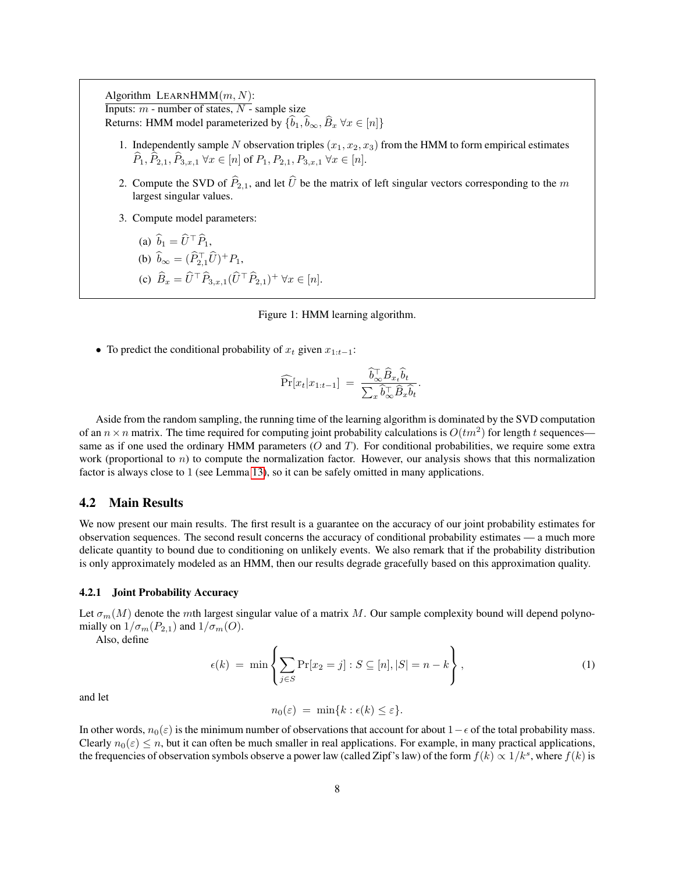Algorithm LEARNHMM $(m, N)$ : Inputs:  $m$  - number of states,  $N$  - sample size Returns: HMM model parameterized by  $\{\widehat{b}_1,\widehat{b}_\infty,\widehat{B}_x \,\forall x \in [n]\}$ 

- 1. Independently sample N observation triples  $(x_1, x_2, x_3)$  from the HMM to form empirical estimates  $\widehat{P}_1, \widehat{P}_{2,1}, \widehat{P}_{3,x,1} \ \forall x \in [n]$  of  $P_1, P_{2,1}, P_{3,x,1} \ \forall x \in [n].$
- 2. Compute the SVD of  $\widehat{P}_{2,1}$ , and let  $\widehat{U}$  be the matrix of left singular vectors corresponding to the m largest singular values.
- 3. Compute model parameters:

(a) 
$$
\hat{b}_1 = \hat{U}^\top \hat{P}_1
$$
,  
\n(b)  $\hat{b}_\infty = (\hat{P}_{2,1}^\top \hat{U})^+ P_1$ ,  
\n(c)  $\hat{B}_x = \hat{U}^\top \hat{P}_{3,x,1} (\hat{U}^\top \hat{P}_{2,1})^+ \forall x \in [n]$ .

<span id="page-7-0"></span>Figure 1: HMM learning algorithm.

• To predict the conditional probability of  $x_t$  given  $x_{1:t-1}$ :

$$
\widehat{\Pr}[x_t|x_{1:t-1}] = \frac{\widehat{b}_{\infty}^{\top} \widehat{B}_{x_t} \widehat{b}_t}{\sum_x \widehat{b}_{\infty}^{\top} \widehat{B}_x \widehat{b}_t}.
$$

Aside from the random sampling, the running time of the learning algorithm is dominated by the SVD computation of an  $n \times n$  matrix. The time required for computing joint probability calculations is  $O(tm^2)$  for length t sequences same as if one used the ordinary HMM parameters  $(O$  and  $T)$ . For conditional probabilities, we require some extra work (proportional to  $n$ ) to compute the normalization factor. However, our analysis shows that this normalization factor is always close to 1 (see Lemma [13\)](#page-14-0), so it can be safely omitted in many applications.

### 4.2 Main Results

We now present our main results. The first result is a guarantee on the accuracy of our joint probability estimates for observation sequences. The second result concerns the accuracy of conditional probability estimates — a much more delicate quantity to bound due to conditioning on unlikely events. We also remark that if the probability distribution is only approximately modeled as an HMM, then our results degrade gracefully based on this approximation quality.

#### 4.2.1 Joint Probability Accuracy

Let  $\sigma_m(M)$  denote the mth largest singular value of a matrix M. Our sample complexity bound will depend polynomially on  $1/\sigma_m(P_{2,1})$  and  $1/\sigma_m(O)$ .

<span id="page-7-1"></span>Also, define

$$
\epsilon(k) = \min\left\{\sum_{j \in S} \Pr[x_2 = j] : S \subseteq [n], |S| = n - k\right\},\tag{1}
$$

and let

 $n_0(\varepsilon) = \min\{k : \epsilon(k) \leq \varepsilon\}.$ 

In other words,  $n_0(\varepsilon)$  is the minimum number of observations that account for about  $1-\varepsilon$  of the total probability mass. Clearly  $n_0(\varepsilon) \le n$ , but it can often be much smaller in real applications. For example, in many practical applications, the frequencies of observation symbols observe a power law (called Zipf's law) of the form  $f(k) \propto 1/k^s$ , where  $f(k)$  is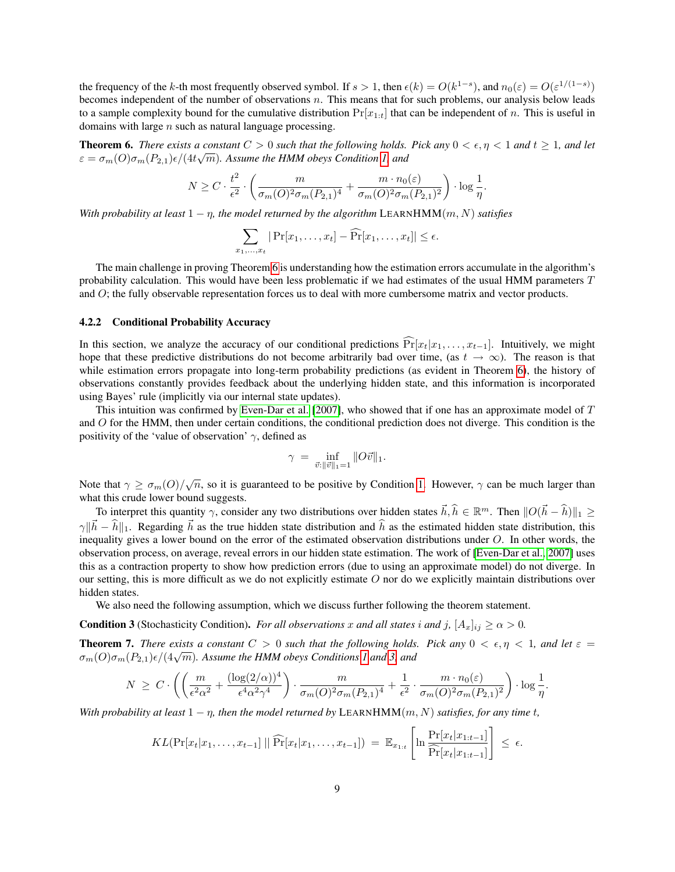the frequency of the k-th most frequently observed symbol. If  $s > 1$ , then  $\epsilon(k) = O(k^{1-s})$ , and  $n_0(\epsilon) = O(\epsilon^{1/(1-s)})$ becomes independent of the number of observations  $n$ . This means that for such problems, our analysis below leads to a sample complexity bound for the cumulative distribution  $Pr[x_{1:t}]$  that can be independent of n. This is useful in domains with large  $n$  such as natural language processing.

<span id="page-8-0"></span>**Theorem 6.** *There exists a constant*  $C > 0$  *such that the following holds. Pick any*  $0 < \epsilon, \eta < 1$  *and*  $t \ge 1$ *, and let*  $\varepsilon = \sigma_m(O)\sigma_m(P_{2,1})\epsilon/(4t\sqrt{m})$ . Assume the HMM obeys Condition [1,](#page-2-2) and

$$
N \ge C \cdot \frac{t^2}{\epsilon^2} \cdot \left( \frac{m}{\sigma_m(O)^2 \sigma_m(P_{2,1})^4} + \frac{m \cdot n_0(\varepsilon)}{\sigma_m(O)^2 \sigma_m(P_{2,1})^2} \right) \cdot \log \frac{1}{\eta}
$$

.

*With probability at least*  $1 - \eta$ *, the model returned by the algorithm* LEARNHMM $(m, N)$  *satisfies* 

$$
\sum_{x_1,\ldots,x_t}|\Pr[x_1,\ldots,x_t]-\widehat{\Pr}[x_1,\ldots,x_t]|\leq\epsilon.
$$

The main challenge in proving Theorem [6](#page-8-0) is understanding how the estimation errors accumulate in the algorithm's probability calculation. This would have been less problematic if we had estimates of the usual HMM parameters T and O; the fully observable representation forces us to deal with more cumbersome matrix and vector products.

#### 4.2.2 Conditional Probability Accuracy

In this section, we analyze the accuracy of our conditional predictions  $\Pr[x_t|x_1, \ldots, x_{t-1}]$ . Intuitively, we might hope that these predictive distributions do not become arbitrarily bad over time, (as  $t \to \infty$ ). The reason is that while estimation errors propagate into long-term probability predictions (as evident in Theorem [6\)](#page-8-0), the history of observations constantly provides feedback about the underlying hidden state, and this information is incorporated using Bayes' rule (implicitly via our internal state updates).

This intuition was confirmed by [Even-Dar et al.](#page-19-10) [\[2007\]](#page-19-10), who showed that if one has an approximate model of T and O for the HMM, then under certain conditions, the conditional prediction does not diverge. This condition is the positivity of the 'value of observation'  $\gamma$ , defined as

$$
\gamma ~=~ \inf_{\vec{v}: \|\vec{v}\|_1 = 1} \|O\vec{v}\|_1.
$$

Note that  $\gamma \ge \sigma_m(O)/\sqrt{n}$ , so it is guaranteed to be positive by Condition [1.](#page-2-2) However,  $\gamma$  can be much larger than what this crude lower bound suggests.

To interpret this quantity  $\gamma$ , consider any two distributions over hidden states  $\vec{h}, \hat{h} \in \mathbb{R}^m$ . Then  $||O(\vec{h} - \hat{h})||_1 \ge$  $\gamma \|\vec{h} - \hat{h}\|_1$ . Regarding  $\vec{h}$  as the true hidden state distribution and  $\hat{h}$  as the estimated hidden state distribution, this inequality gives a lower bound on the error of the estimated observation distributions under  $O$ . In other words, the observation process, on average, reveal errors in our hidden state estimation. The work of [\[Even-Dar et al., 2007\]](#page-19-10) uses this as a contraction property to show how prediction errors (due to using an approximate model) do not diverge. In our setting, this is more difficult as we do not explicitly estimate O nor do we explicitly maintain distributions over hidden states.

We also need the following assumption, which we discuss further following the theorem statement.

<span id="page-8-1"></span>**Condition 3** (Stochasticity Condition). *For all observations* x and all states i and j,  $[A_x]_{ij} \ge \alpha > 0$ .

<span id="page-8-2"></span>**Theorem 7.** *There exists a constant*  $C > 0$  *such that the following holds. Pick any*  $0 < \epsilon, \eta < 1$ *, and let*  $\epsilon =$ **Theorem** *T***.** There exists a constant  $C > 0$  such that the joilowing holds  $\sigma_m(O)\sigma_m(P_{2,1})\epsilon/(4\sqrt{m})$ . Assume the HMM obeys Conditions [1](#page-2-2) and [3,](#page-8-1) and

$$
N \geq C \cdot \left( \left( \frac{m}{\epsilon^2 \alpha^2} + \frac{(\log(2/\alpha))^4}{\epsilon^4 \alpha^2 \gamma^4} \right) \cdot \frac{m}{\sigma_m(O)^2 \sigma_m(P_{2,1})^4} + \frac{1}{\epsilon^2} \cdot \frac{m \cdot n_0(\epsilon)}{\sigma_m(O)^2 \sigma_m(P_{2,1})^2} \right) \cdot \log \frac{1}{\eta}.
$$

*With probability at least*  $1 - \eta$ *, then the model returned by* LEARNHMM $(m, N)$  *satisfies, for any time t*,

$$
KL(\Pr[x_t|x_1,\ldots,x_{t-1}] \mid \mid \widehat{\Pr}[x_t|x_1,\ldots,x_{t-1}]) = \mathbb{E}_{x_{1:t}}\left[\ln \frac{\Pr[x_t|x_{1:t-1}]}{\widehat{\Pr}[x_t|x_{1:t-1}]} \right] \leq \epsilon.
$$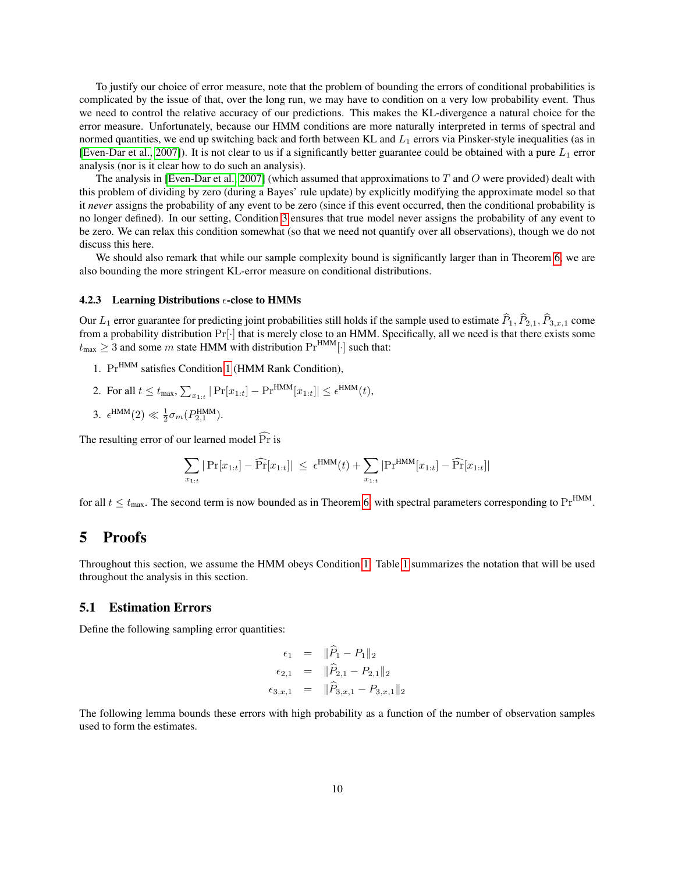To justify our choice of error measure, note that the problem of bounding the errors of conditional probabilities is complicated by the issue of that, over the long run, we may have to condition on a very low probability event. Thus we need to control the relative accuracy of our predictions. This makes the KL-divergence a natural choice for the error measure. Unfortunately, because our HMM conditions are more naturally interpreted in terms of spectral and normed quantities, we end up switching back and forth between KL and  $L_1$  errors via Pinsker-style inequalities (as in [\[Even-Dar et al., 2007\]](#page-19-10)). It is not clear to us if a significantly better guarantee could be obtained with a pure  $L_1$  error analysis (nor is it clear how to do such an analysis).

The analysis in [\[Even-Dar et al., 2007\]](#page-19-10) (which assumed that approximations to T and O were provided) dealt with this problem of dividing by zero (during a Bayes' rule update) by explicitly modifying the approximate model so that it *never* assigns the probability of any event to be zero (since if this event occurred, then the conditional probability is no longer defined). In our setting, Condition [3](#page-8-1) ensures that true model never assigns the probability of any event to be zero. We can relax this condition somewhat (so that we need not quantify over all observations), though we do not discuss this here.

We should also remark that while our sample complexity bound is significantly larger than in Theorem [6,](#page-8-0) we are also bounding the more stringent KL-error measure on conditional distributions.

#### 4.2.3 Learning Distributions  $\epsilon$ -close to HMMs

Our  $L_1$  error guarantee for predicting joint probabilities still holds if the sample used to estimate  $\widehat{P}_1, \widehat{P}_{2,1}, \widehat{P}_{3,x,1}$  come from a probability distribution  $Pr[\cdot]$  that is merely close to an HMM. Specifically, all we need is that there exists some  $t_{\text{max}} \geq 3$  and some m state HMM with distribution  $\Pr^{\text{HMM}}[\cdot]$  such that:

- 1. Pr<sup>HMM</sup> satisfies Condition [1](#page-2-2) (HMM Rank Condition),
- 2. For all  $t \leq t_{\max}$ ,  $\sum_{x_{1:t}} |\Pr[x_{1:t}] \Pr^{HMM}[x_{1:t}]| \leq \epsilon^{HMM}(t)$ ,
- 3.  $\epsilon^{\text{HMM}}(2) \ll \frac{1}{2}\sigma_m(P_{2,1}^{\text{HMM}})$ .

The resulting error of our learned model  $\widehat{Pr}$  is

$$
\sum_{x_{1:t}}|\Pr[x_{1:t}]-\widehat{\Pr}[x_{1:t}]|\;\leq\; \epsilon^{\text{HMM}}(t)+\sum_{x_{1:t}}|\Pr^{\text{HMM}}[x_{1:t}]-\widehat{\Pr}[x_{1:t}]|
$$

for all  $t \le t_{\text{max}}$ . The second term is now bounded as in Theorem [6,](#page-8-0) with spectral parameters corresponding to Pr<sup>HMM</sup>.

# 5 Proofs

Throughout this section, we assume the HMM obeys Condition [1.](#page-2-2) Table [1](#page-10-0) summarizes the notation that will be used throughout the analysis in this section.

### <span id="page-9-0"></span>5.1 Estimation Errors

Define the following sampling error quantities:

$$
\epsilon_1 = ||P_1 - P_1||_2
$$
  
\n
$$
\epsilon_{2,1} = ||\hat{P}_{2,1} - P_{2,1}||_2
$$
  
\n
$$
\epsilon_{3,x,1} = ||\hat{P}_{3,x,1} - P_{3,x,1}||_2
$$

<span id="page-9-1"></span>The following lemma bounds these errors with high probability as a function of the number of observation samples used to form the estimates.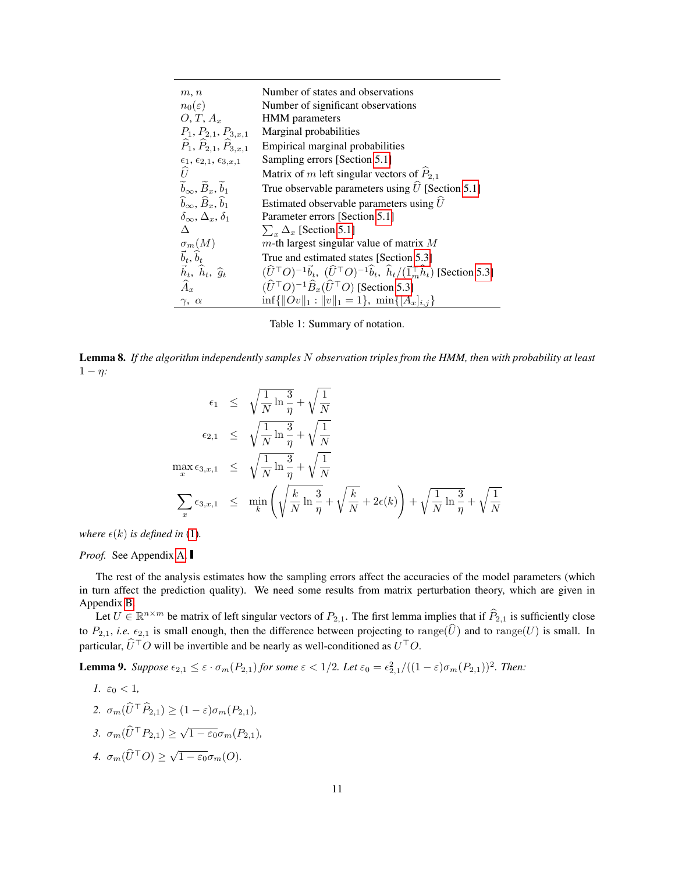| m, n                                                       | Number of states and observations                                                                                                                 |
|------------------------------------------------------------|---------------------------------------------------------------------------------------------------------------------------------------------------|
| $n_0(\varepsilon)$                                         | Number of significant observations                                                                                                                |
| $O, T, A_x$                                                | <b>HMM</b> parameters                                                                                                                             |
| $P_1, P_{2,1}, P_{3,x,1}$                                  | Marginal probabilities                                                                                                                            |
| $\widehat{P}_1, \widehat{P}_{2,1}, \widehat{P}_{3,x,1}$    | Empirical marginal probabilities                                                                                                                  |
| $\epsilon_1, \epsilon_{2,1}, \epsilon_{3,x,1}$             | Sampling errors [Section 5.1]                                                                                                                     |
| U                                                          | Matrix of m left singular vectors of $P_{2,1}$                                                                                                    |
| $\widetilde{b}_{\infty}, \widetilde{B}_x, \widetilde{b}_1$ | True observable parameters using $U$ [Section 5.1]                                                                                                |
| $\widehat{b}_{\infty}, \widehat{B}_x, \widehat{b}_1$       | Estimated observable parameters using $\hat{U}$                                                                                                   |
| $\delta_{\infty}, \Delta_x, \delta_1$                      | Parameter errors [Section 5.1]                                                                                                                    |
| Л                                                          | $\sum_{x} \Delta_x$ [Section 5.1]                                                                                                                 |
| $\sigma_m(M)$                                              | $m$ -th largest singular value of matrix $M$                                                                                                      |
| $\vec{b}_t, \hat{b}_t$                                     | True and estimated states [Section 5.3]                                                                                                           |
| $\vec{h}_t$ , $\hat{h}_t$ , $\hat{g}_t$                    | $(\widehat{U}^{\top}O)^{-1}\vec{b}_t$ , $(\widehat{U}^{\top}O)^{-1}\widehat{b}_t$ , $\widehat{h}_t/(\vec{1}_m^{\top}\widehat{h}_t)$ [Section 5.3] |
| $\widehat{A}_x$                                            | $(\widehat{U}^{\top}O)^{-1}\widehat{B}_{x}(\widehat{U}^{\top}O)$ [Section 5.3]                                                                    |
| $\gamma,\ \alpha$                                          | $\inf\{\ Ov\ _1: \ v\ _1=1\}, \min\{[A_x]_{i,j}\}\$                                                                                               |

<span id="page-10-0"></span>Table 1: Summary of notation.

Lemma 8. *If the algorithm independently samples* N *observation triples from the HMM, then with probability at least* 1 − η*:*

$$
\epsilon_1 \leq \sqrt{\frac{1}{N} \ln \frac{3}{\eta}} + \sqrt{\frac{1}{N}}
$$
  
\n
$$
\epsilon_{2,1} \leq \sqrt{\frac{1}{N} \ln \frac{3}{\eta}} + \sqrt{\frac{1}{N}}
$$
  
\n
$$
\max_{x} \epsilon_{3,x,1} \leq \sqrt{\frac{1}{N} \ln \frac{3}{\eta}} + \sqrt{\frac{1}{N}}
$$
  
\n
$$
\sum_{x} \epsilon_{3,x,1} \leq \min_{k} \left( \sqrt{\frac{k}{N} \ln \frac{3}{\eta}} + \sqrt{\frac{k}{N}} + 2\epsilon(k) \right) + \sqrt{\frac{1}{N} \ln \frac{3}{\eta}} + \sqrt{\frac{1}{N}}
$$

*where*  $\epsilon(k)$  *is defined in* [\(1\)](#page-7-1).

### *Proof.* See Appendix [A.](#page-20-15)

The rest of the analysis estimates how the sampling errors affect the accuracies of the model parameters (which in turn affect the prediction quality). We need some results from matrix perturbation theory, which are given in Appendix [B.](#page-22-1)

Let  $U \in \mathbb{R}^{n \times m}$  be matrix of left singular vectors of  $P_{2,1}$ . The first lemma implies that if  $\widehat{P}_{2,1}$  is sufficiently close to  $P_{2,1}$ , *i.e.*  $\epsilon_{2,1}$  is small enough, then the difference between projecting to range( $\hat{U}$ ) and to range( $U$ ) is small. In particular,  $\hat{U}^{\top}O$  will be invertible and be nearly as well-conditioned as  $U^{\top}O$ .

<span id="page-10-1"></span>**Lemma 9.** Suppose  $\epsilon_{2,1} \leq \epsilon \cdot \sigma_m(P_{2,1})$  for some  $\epsilon < 1/2$ . Let  $\epsilon_0 = \epsilon_{2,1}^2/((1-\epsilon)\sigma_m(P_{2,1}))^2$ . Then:

1. 
$$
\varepsilon_0 < 1
$$
,  
\n2.  $\sigma_m(\hat{U}^\top \hat{P}_{2,1}) \ge (1 - \varepsilon)\sigma_m(P_{2,1}),$   
\n3.  $\sigma_m(\hat{U}^\top P_{2,1}) \ge \sqrt{1 - \varepsilon_0}\sigma_m(P_{2,1}),$   
\n4.  $\sigma_m(\hat{U}^\top O) \ge \sqrt{1 - \varepsilon_0}\sigma_m(O).$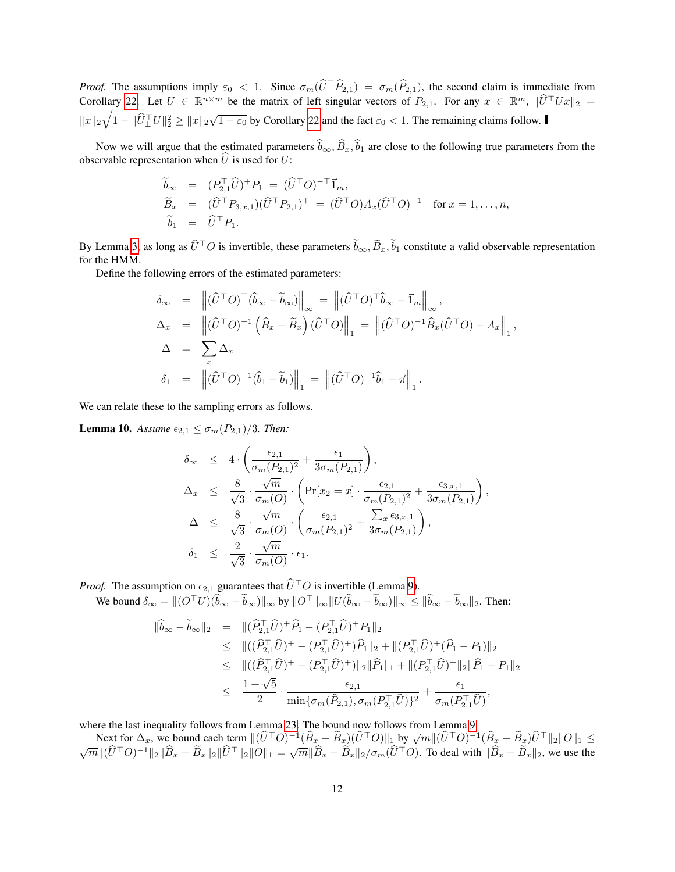*Proof.* The assumptions imply  $\varepsilon_0 < 1$ . Since  $\sigma_m(\widehat{U}^{\top}\widehat{P}_{2,1}) = \sigma_m(\widehat{P}_{2,1})$ , the second claim is immediate from Corollary [22.](#page-22-2) Let  $U \in \mathbb{R}^{n \times m}$  be the matrix of left singular vectors of  $P_{2,1}$ . For any  $x \in \mathbb{R}^m$ ,  $\|\hat{U}^\top Ux\|_2 =$  $||x||_2\sqrt{1 - ||\widehat{U}_\perp^{\top}U||_2^2} \ge ||x||_2\sqrt{1 - \varepsilon_0}$  by Corollary [22](#page-22-2) and the fact  $\varepsilon_0 < 1$ . The remaining claims follow.

Now we will argue that the estimated parameters  $\hat{b}_{\infty}, \hat{B}_x, \hat{b}_1$  are close to the following true parameters from the observable representation when  $\hat{U}$  is used for U:

$$
\widetilde{b}_{\infty} = (P_{2,1}^{\top} \widehat{U})^+ P_1 = (\widehat{U}^{\top} O)^{-\top} \vec{1}_m,
$$
\n
$$
\widetilde{B}_x = (\widehat{U}^{\top} P_{3,x,1}) (\widehat{U}^{\top} P_{2,1})^+ = (\widehat{U}^{\top} O) A_x (\widehat{U}^{\top} O)^{-1} \text{ for } x = 1, ..., n,
$$
\n
$$
\widetilde{b}_1 = \widehat{U}^{\top} P_1.
$$

By Lemma [3,](#page-4-1) as long as  $\hat{U}^{\top}O$  is invertible, these parameters  $\tilde{b}_{\infty}, \tilde{B}_x, \tilde{b}_1$  constitute a valid observable representation for the HMM.

Define the following errors of the estimated parameters:

$$
\delta_{\infty} = \left\| (\widehat{U}^{\top} O)^{\top} (\widehat{b}_{\infty} - \widetilde{b}_{\infty}) \right\|_{\infty} = \left\| (\widehat{U}^{\top} O)^{\top} \widehat{b}_{\infty} - \mathbf{I}_{m} \right\|_{\infty},
$$
  
\n
$$
\Delta_{x} = \left\| (\widehat{U}^{\top} O)^{-1} (\widehat{B}_{x} - \widetilde{B}_{x}) (\widehat{U}^{\top} O) \right\|_{1} = \left\| (\widehat{U}^{\top} O)^{-1} \widehat{B}_{x} (\widehat{U}^{\top} O) - A_{x} \right\|_{1},
$$
  
\n
$$
\Delta = \sum_{x} \Delta_{x}
$$
  
\n
$$
\delta_{1} = \left\| (\widehat{U}^{\top} O)^{-1} (\widehat{b}_{1} - \widetilde{b}_{1}) \right\|_{1} = \left\| (\widehat{U}^{\top} O)^{-1} \widehat{b}_{1} - \vec{\pi} \right\|_{1}.
$$

<span id="page-11-0"></span>We can relate these to the sampling errors as follows.

**Lemma 10.** *Assume*  $\epsilon_{2,1} \leq \sigma_m(P_{2,1})/3$ *. Then:* 

$$
\delta_{\infty} \leq 4 \cdot \left( \frac{\epsilon_{2,1}}{\sigma_m(P_{2,1})^2} + \frac{\epsilon_1}{3\sigma_m(P_{2,1})} \right), \n\Delta_x \leq \frac{8}{\sqrt{3}} \cdot \frac{\sqrt{m}}{\sigma_m(O)} \cdot \left( \Pr[x_2 = x] \cdot \frac{\epsilon_{2,1}}{\sigma_m(P_{2,1})^2} + \frac{\epsilon_{3,x,1}}{3\sigma_m(P_{2,1})} \right), \n\Delta \leq \frac{8}{\sqrt{3}} \cdot \frac{\sqrt{m}}{\sigma_m(O)} \cdot \left( \frac{\epsilon_{2,1}}{\sigma_m(P_{2,1})^2} + \frac{\sum_x \epsilon_{3,x,1}}{3\sigma_m(P_{2,1})} \right), \n\delta_1 \leq \frac{2}{\sqrt{3}} \cdot \frac{\sqrt{m}}{\sigma_m(O)} \cdot \epsilon_1.
$$

*Proof.* The assumption on  $\epsilon_{2,1}$  guarantees that  $\widehat{U}^{\top}O$  is invertible (Lemma [9\)](#page-10-1).

We bound  $\delta_{\infty} = ||(O^{\top}U)(\widetilde{\widetilde{b}_{\infty}} - \widetilde{b}_{\infty})||_{\infty}$  by  $||O^{\top}||_{\infty}||U(\widehat{b}_{\infty} - \widetilde{b}_{\infty})||_{\infty} \le ||\widehat{b}_{\infty} - \widetilde{b}_{\infty}||_2$ . Then:

$$
\|\hat{b}_{\infty} - \tilde{b}_{\infty}\|_{2} = \|(\widehat{P}_{2,1}^{\top}\widehat{U})^{+}\widehat{P}_{1} - (P_{2,1}^{\top}\widehat{U})^{+}P_{1}\|_{2} \n\leq \|((\widehat{P}_{2,1}^{\top}\widehat{U})^{+} - (P_{2,1}^{\top}\widehat{U})^{+})\widehat{P}_{1}\|_{2} + \|({P}_{2,1}^{\top}\widehat{U})^{+}(\widehat{P}_{1} - P_{1})\|_{2} \n\leq \|((\widehat{P}_{2,1}^{\top}\widehat{U})^{+} - (P_{2,1}^{\top}\widehat{U})^{+})\|_{2}\|\widehat{P}_{1}\|_{1} + \|({P}_{2,1}^{\top}\widehat{U})^{+}\|_{2}\|\widehat{P}_{1} - P_{1}\|_{2} \n\leq \frac{1 + \sqrt{5}}{2} \cdot \frac{\epsilon_{2,1}}{\min\{\sigma_{m}(\widehat{P}_{2,1}), \sigma_{m}(P_{2,1}^{\top}\widehat{U})\}^{2}} + \frac{\epsilon_{1}}{\sigma_{m}(P_{2,1}^{\top}\widehat{U})},
$$

where the last inequality follows from Lemma [23.](#page-22-3) The bound now follows from Lemma [9.](#page-10-1)

Where the fast inequality follows from Lemma 25. The bound flow follows from Lemma 9.<br>
Next for  $\Delta_x$ , we bound each term  $\|(\hat{U}^\top O)^{-1}(\hat{B}_x - \tilde{B}_x)(\hat{U}^\top O)\|_1$  by  $\sqrt{m}\|(\hat{U}^\top O)^{-1}(\hat{B}_x - \tilde{B}_x)\hat{U}^\top\|_2\|O\|_1 \$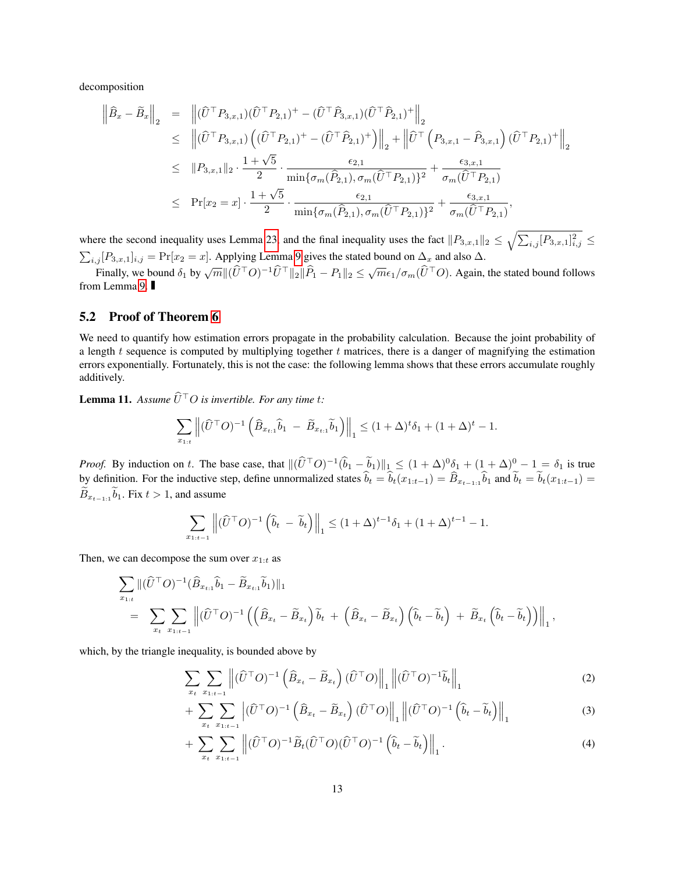decomposition

$$
\begin{split}\n\left\|\hat{B}_{x}-\tilde{B}_{x}\right\|_{2} &= \left\|\left(\hat{U}^{\top}P_{3,x,1}\right)\left(\hat{U}^{\top}P_{2,1}\right)^{+}-\left(\hat{U}^{\top}\hat{P}_{3,x,1}\right)\left(\hat{U}^{\top}\hat{P}_{2,1}\right)^{+}\right\|_{2} \\
&\leq \left\|\left(\hat{U}^{\top}P_{3,x,1}\right)\left(\left(\hat{U}^{\top}P_{2,1}\right)^{+}-\left(\hat{U}^{\top}\hat{P}_{2,1}\right)^{+}\right)\right\|_{2}+\left\|\hat{U}^{\top}\left(P_{3,x,1}-\hat{P}_{3,x,1}\right)\left(\hat{U}^{\top}P_{2,1}\right)^{+}\right\|_{2} \\
&\leq \left\|P_{3,x,1}\right\|_{2} \cdot \frac{1+\sqrt{5}}{2} \cdot \frac{\epsilon_{2,1}}{\min\{\sigma_{m}(\hat{P}_{2,1}), \sigma_{m}(\hat{U}^{\top}P_{2,1})\}^{2}} + \frac{\epsilon_{3,x,1}}{\sigma_{m}(\hat{U}^{\top}P_{2,1})} \\
&\leq \Pr[x_{2}=x] \cdot \frac{1+\sqrt{5}}{2} \cdot \frac{\epsilon_{2,1}}{\min\{\sigma_{m}(\hat{P}_{2,1}), \sigma_{m}(\hat{U}^{\top}P_{2,1})\}^{2}} + \frac{\epsilon_{3,x,1}}{\sigma_{m}(\hat{U}^{\top}P_{2,1})},\n\end{split}
$$

where the second inequality uses Lemma [23,](#page-22-3) and the final inequality uses the fact  $||P_{3,x,1}||_2 \leq \sqrt{\sum_{i,j} [P_{3,x,1}]_{i,j}^2} \leq$ 

 $\sum_{i,j} [P_{3,x,1}]_{i,j} = \Pr[x_2 = x]$ . Applying Lemma [9](#page-10-1) gives the stated bound on  $\Delta_x$  and also  $\Delta$ .<br>Finally, we bound  $\delta_1$  by  $\sqrt{m} || (\widehat{U}^\top O)^{-1} \widehat{U}^\top ||_2 || \widehat{P}_1 - P_1 ||_2 \le \sqrt{m} \epsilon_1 / \sigma_m (\widehat{U}^\top O)$ . Again, the stated bound from Lemma [9.](#page-10-1)

# 5.2 Proof of Theorem [6](#page-8-0)

We need to quantify how estimation errors propagate in the probability calculation. Because the joint probability of a length  $t$  sequence is computed by multiplying together  $t$  matrices, there is a danger of magnifying the estimation errors exponentially. Fortunately, this is not the case: the following lemma shows that these errors accumulate roughly additively.

<span id="page-12-1"></span>**Lemma 11.** Assume  $\widehat{U}^{\top}O$  is invertible. For any time t:

$$
\sum_{x_{1:t}} \left\| (\widehat{U}^{\top} O)^{-1} \left( \widehat{B}_{x_{t:1}} \widehat{b}_1 - \widetilde{B}_{x_{t:1}} \widetilde{b}_1 \right) \right\|_1 \leq (1 + \Delta)^{t} \delta_1 + (1 + \Delta)^{t} - 1.
$$

*Proof.* By induction on t. The base case, that  $\|(\widehat{U}^{\top}O)^{-1}(\widehat{b}_1 - \widehat{b}_1)\|_1 \leq (1 + \Delta)^0 \delta_1 + (1 + \Delta)^0 - 1 = \delta_1$  is true by definition. For the inductive step, define unnormalized states  $b_t = b_t(x_{1:t-1}) = B_{x_{t-1}:1}b_1$  and  $b_t = b_t(x_{1:t-1}) = \sum_{t=0}^{t-1} b_t(x_{1:t-1})$  $B_{x_{t-1:1}}b_1$ . Fix  $t > 1$ , and assume

$$
\sum_{x_{1:t-1}} \left\| (\widehat{U}^\top O)^{-1} \left( \widehat{b}_t - \widetilde{b}_t \right) \right\|_1 \leq (1+\Delta)^{t-1} \delta_1 + (1+\Delta)^{t-1} - 1.
$$

Then, we can decompose the sum over  $x_{1:t}$  as

$$
\sum_{x_{1:t}} \|(\widehat{U}^{\top}O)^{-1}(\widehat{B}_{x_{t:1}}\widehat{b}_{1} - \widetilde{B}_{x_{t:1}}\widetilde{b}_{1})\|_{1} \n= \sum_{x_{t}} \sum_{x_{1:t-1}} \left\|(\widehat{U}^{\top}O)^{-1}\left(\left(\widehat{B}_{x_{t}} - \widetilde{B}_{x_{t}}\right)\widetilde{b}_{t} + \left(\widehat{B}_{x_{t}} - \widetilde{B}_{x_{t}}\right)\left(\widehat{b}_{t} - \widetilde{b}_{t}\right) + \widetilde{B}_{x_{t}}\left(\widehat{b}_{t} - \widetilde{b}_{t}\right)\right)\right\|_{1},
$$

which, by the triangle inequality, is bounded above by

<span id="page-12-0"></span>
$$
\sum_{x_t} \sum_{x_{1:t-1}} \left\| (\widehat{U}^\top O)^{-1} \left( \widehat{B}_{x_t} - \widetilde{B}_{x_t} \right) (\widehat{U}^\top O) \right\|_1 \left\| (\widehat{U}^\top O)^{-1} \widetilde{b}_t \right\|_1 \tag{2}
$$

$$
+\sum_{x_t} \sum_{x_{1:t-1}} \left| (\widehat{U}^\top O)^{-1} \left( \widehat{B}_{x_t} - \widetilde{B}_{x_t} \right) (\widehat{U}^\top O) \right|_1 \left\| (\widehat{U}^\top O)^{-1} \left( \widehat{b}_t - \widetilde{b}_t \right) \right\|_1
$$
\n(3)

$$
+\sum_{x_t} \sum_{x_{1:t-1}} \left\| (\widehat{U}^\top O)^{-1} \widetilde{B}_t (\widehat{U}^\top O) (\widehat{U}^\top O)^{-1} \left( \widehat{b}_t - \widetilde{b}_t \right) \right\|_1. \tag{4}
$$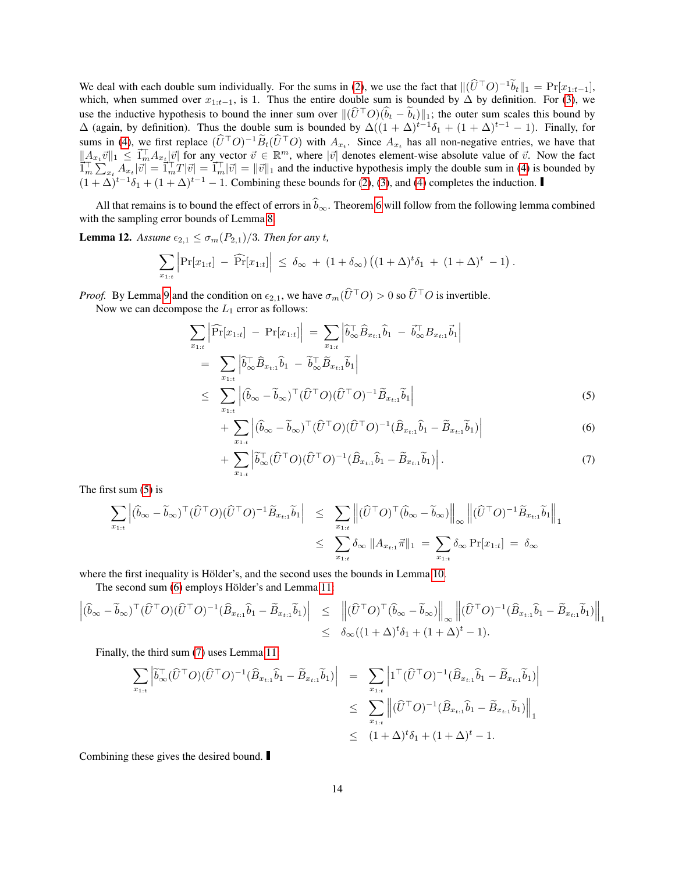We deal with each double sum individually. For the sums in [\(2\)](#page-12-0), we use the fact that  $\|(\hat{U}^{\top}O)^{-1}\tilde{b}_t\|_1 = \Pr[x_{1:t-1}],$ which, when summed over  $x_{1:t-1}$ , is 1. Thus the entire double sum is bounded by  $\Delta$  by definition. For [\(3\)](#page-12-0), we use the inductive hypothesis to bound the inner sum over  $\|(\widehat{U}^{\top}O)(\widehat{b}_{t} - \widehat{b}_{t})\|_{1}$ ; the outer sum scales this bound by  $\Delta$  (again, by definition). Thus the double sum is bounded by  $\Delta((1 + \Delta)^{t-1}\delta_1 + (1 + \Delta)^{t-1} - 1)$ . Finally, for sums in [\(4\)](#page-12-0), we first replace  $(\hat{U}^{\top}O)^{-1}\tilde{B}_t(\hat{U}^{\top}O)$  with  $A_{x_t}$ . Since  $A_{x_t}$  has all non-negative entries, we have that  $||A_{x_t}\vec{v}||_1 \leq \vec{1}_m^{\top}A_{x_t}|\vec{v}|$  for any vector  $\vec{v} \in \mathbb{R}^m$ , where  $|\vec{v}|$  denotes element-wise absolute value of  $\vec{v}$ . Now the fact  $\prod_{m}^{T} \sum_{x}^{T} A_{x} |\vec{v}| = \prod_{m}^{T} T |\vec{v}| = \prod_{m}^{T} |\vec{v}| = ||\vec{v}||_1$  and the inductive hypothesis imply the double sum in [\(4\)](#page-12-0) is bounded by  $(1 + \Delta)^{t-1}\delta_1 + (1 + \Delta)^{t-1} - 1$ . Combining these bounds for [\(2\)](#page-12-0), [\(3\)](#page-12-0), and [\(4\)](#page-12-0) completes the induction.

All that remains is to bound the effect of errors in  $\hat{b}_{\infty}$ . Theorem [6](#page-8-0) will follow from the following lemma combined with the sampling error bounds of Lemma [8.](#page-9-1)

<span id="page-13-1"></span>**Lemma 12.** Assume  $\epsilon_{2,1} \leq \sigma_m(P_{2,1})/3$ . Then for any t,

$$
\sum_{x_{1:t}} \left| \Pr[x_{1:t}] - \widehat{\Pr}[x_{1:t}] \right| \le \delta_{\infty} + (1+\delta_{\infty}) \left( (1+\Delta)^{t} \delta_1 + (1+\Delta)^{t} - 1 \right).
$$

*Proof.* By Lemma [9](#page-10-1) and the condition on  $\epsilon_{2,1}$ , we have  $\sigma_m(\widehat{U}^{\top}O) > 0$  so  $\widehat{U}^{\top}O$  is invertible.

Now we can decompose the  $L_1$  error as follows:

<span id="page-13-0"></span>
$$
\sum_{x_{1:t}} \left| \widehat{\Pr}[x_{1:t}] - \Pr[x_{1:t}] \right| = \sum_{x_{1:t}} \left| \widehat{b}_{\infty}^{\top} \widehat{B}_{x_{t:1}} \widehat{b}_{1} - \overline{b}_{\infty}^{\top} B_{x_{t:1}} \overline{b}_{1} \right|
$$
  
\n
$$
= \sum_{x_{1:t}} \left| \widehat{b}_{\infty}^{\top} \widehat{B}_{x_{t:1}} \widehat{b}_{1} - \widetilde{b}_{\infty}^{\top} \widetilde{B}_{x_{t:1}} \widetilde{b}_{1} \right|
$$
  
\n
$$
\leq \sum_{x_{1:t}} \left| (\widehat{b}_{\infty} - \widetilde{b}_{\infty})^{\top} (\widehat{U}^{\top} O)(\widehat{U}^{\top} O)^{-1} \widetilde{B}_{x_{t:1}} \widetilde{b}_{1} \right|
$$
(5)

$$
+\sum_{x_{1:t}}\left|(\widehat{b}_{\infty}-\widetilde{b}_{\infty})^{\top}(\widehat{U}^{\top}O)(\widehat{U}^{\top}O)^{-1}(\widehat{B}_{x_{t:1}}\widehat{b}_{1}-\widetilde{B}_{x_{t:1}}\widetilde{b}_{1})\right|\tag{6}
$$

$$
+\sum_{x_{1:t}}\left|\tilde{b}_{\infty}^{\top}(\hat{U}^{\top}O)(\hat{U}^{\top}O)^{-1}(\hat{B}_{x_{t:1}}\hat{b}_1-\tilde{B}_{x_{t:1}}\tilde{b}_1)\right|.
$$
\n(7)

The first sum [\(5\)](#page-13-0) is

$$
\sum_{x_{1:t}} \left| (\widehat{b}_{\infty} - \widetilde{b}_{\infty})^{\top} (\widehat{U}^{\top} O)(\widehat{U}^{\top} O)^{-1} \widetilde{B}_{x_{t:1}} \widetilde{b}_{1} \right| \leq \sum_{x_{1:t}} \left\| (\widehat{U}^{\top} O)^{\top} (\widehat{b}_{\infty} - \widetilde{b}_{\infty}) \right\|_{\infty} \left\| (\widehat{U}^{\top} O)^{-1} \widetilde{B}_{x_{t:1}} \widetilde{b}_{1} \right\|_{1}
$$
  

$$
\leq \sum_{x_{1:t}} \delta_{\infty} \left\| A_{x_{t:1}} \vec{\pi} \right\|_{1} = \sum_{x_{1:t}} \delta_{\infty} \Pr[x_{1:t}] = \delta_{\infty}
$$

where the first inequality is Hölder's, and the second uses the bounds in Lemma [10.](#page-11-0)

The second sum [\(6\)](#page-13-0) employs Hölder's and Lemma [11:](#page-12-1)

$$
\left| (\widehat{b}_{\infty} - \widetilde{b}_{\infty})^{\top} (\widehat{U}^{\top} O) (\widehat{U}^{\top} O)^{-1} (\widehat{B}_{x_{t:1}} \widehat{b}_{1} - \widetilde{B}_{x_{t:1}} \widetilde{b}_{1}) \right| \leq \left\| (\widehat{U}^{\top} O)^{\top} (\widehat{b}_{\infty} - \widetilde{b}_{\infty}) \right\|_{\infty} \left\| (\widehat{U}^{\top} O)^{-1} (\widehat{B}_{x_{t:1}} \widehat{b}_{1} - \widetilde{B}_{x_{t:1}} \widetilde{b}_{1}) \right\|_{1} \leq \delta_{\infty} ((1 + \Delta)^{t} \delta_{1} + (1 + \Delta)^{t} - 1).
$$

Finally, the third sum [\(7\)](#page-13-0) uses Lemma [11:](#page-12-1)

$$
\sum_{x_{1:t}} \left| \tilde{b}_{\infty}^{\top} (\hat{U}^{\top} O)(\hat{U}^{\top} O)^{-1} (\hat{B}_{x_{t:1}} \hat{b}_1 - \tilde{B}_{x_{t:1}} \tilde{b}_1) \right| = \sum_{x_{1:t}} \left| 1^{\top} (\hat{U}^{\top} O)^{-1} (\hat{B}_{x_{t:1}} \hat{b}_1 - \tilde{B}_{x_{t:1}} \tilde{b}_1) \right|
$$
  

$$
\leq \sum_{x_{1:t}} \left\| (\hat{U}^{\top} O)^{-1} (\hat{B}_{x_{t:1}} \hat{b}_1 - \tilde{B}_{x_{t:1}} \tilde{b}_1) \right\|_1
$$
  

$$
\leq (1 + \Delta)^t \delta_1 + (1 + \Delta)^t - 1.
$$

Combining these gives the desired bound.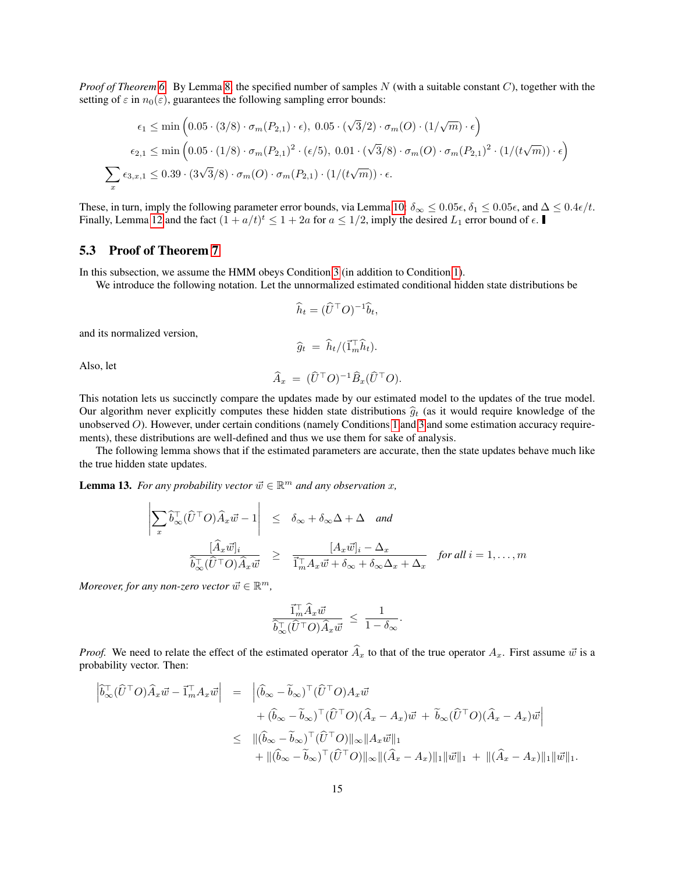*Proof of Theorem [6.](#page-8-0)* By Lemma [8,](#page-9-1) the specified number of samples N (with a suitable constant C), together with the setting of  $\varepsilon$  in  $n_0(\varepsilon)$ , guarantees the following sampling error bounds:

$$
\epsilon_1 \le \min\left(0.05 \cdot (3/8) \cdot \sigma_m(P_{2,1}) \cdot \epsilon\right), \ 0.05 \cdot (\sqrt{3}/2) \cdot \sigma_m(O) \cdot (1/\sqrt{m}) \cdot \epsilon\right)
$$

$$
\epsilon_{2,1} \le \min\left(0.05 \cdot (1/8) \cdot \sigma_m(P_{2,1})^2 \cdot (\epsilon/5), \ 0.01 \cdot (\sqrt{3}/8) \cdot \sigma_m(O) \cdot \sigma_m(P_{2,1})^2 \cdot (1/(t\sqrt{m})) \cdot \epsilon\right)
$$

$$
\sum_x \epsilon_{3,x,1} \le 0.39 \cdot (3\sqrt{3}/8) \cdot \sigma_m(O) \cdot \sigma_m(P_{2,1}) \cdot (1/(t\sqrt{m})) \cdot \epsilon.
$$

These, in turn, imply the following parameter error bounds, via Lemma [10:](#page-11-0)  $\delta_{\infty} \leq 0.05\epsilon$ ,  $\delta_1 \leq 0.05\epsilon$ , and  $\Delta \leq 0.4\epsilon/t$ . Finally, Lemma [12](#page-13-1) and the fact  $(1 + a/t)^t \le 1 + 2a$  for  $a \le 1/2$ , imply the desired  $L_1$  error bound of  $\epsilon$ .

# <span id="page-14-1"></span>5.3 Proof of Theorem [7](#page-8-2)

In this subsection, we assume the HMM obeys Condition [3](#page-8-1) (in addition to Condition [1\)](#page-2-2).

We introduce the following notation. Let the unnormalized estimated conditional hidden state distributions be

$$
\widehat{h}_t = (\widehat{U}^\top O)^{-1} \widehat{b}_t,
$$

and its normalized version,

$$
\widehat{g}_t = \widehat{h}_t / (\vec{1}_m^{\top} \widehat{h}_t).
$$

Also, let

$$
\widehat{A}_x = (\widehat{U}^\top O)^{-1} \widehat{B}_x (\widehat{U}^\top O).
$$

This notation lets us succinctly compare the updates made by our estimated model to the updates of the true model. Our algorithm never explicitly computes these hidden state distributions  $\hat{g}_t$  (as it would require knowledge of the unobserved O). However, under certain conditions (namely Conditions [1](#page-2-2) and [3](#page-8-1) and some estimation accuracy requirements), these distributions are well-defined and thus we use them for sake of analysis.

The following lemma shows that if the estimated parameters are accurate, then the state updates behave much like the true hidden state updates.

<span id="page-14-0"></span>**Lemma 13.** *For any probability vector*  $\vec{w} \in \mathbb{R}^m$  *and any observation*  $x$ *,* 

$$
\left| \sum_{x} \hat{b}_{\infty}^{\top} (\hat{U}^{\top} O) \hat{A}_{x} \vec{w} - 1 \right| \leq \delta_{\infty} + \delta_{\infty} \Delta + \Delta \quad \text{and}
$$
  

$$
\frac{[\hat{A}_{x} \vec{w}]_{i}}{\hat{b}_{\infty}^{\top} (\hat{U}^{\top} O) \hat{A}_{x} \vec{w}} \geq \frac{[A_{x} \vec{w}]_{i} - \Delta_{x}}{\vec{1}_{m}^{\top} A_{x} \vec{w} + \delta_{\infty} + \delta_{\infty} \Delta_{x} + \Delta_{x}} \quad \text{for all } i = 1, ..., m
$$

*Moreover, for any non-zero vector*  $\vec{w} \in \mathbb{R}^m$ ,

$$
\frac{\vec{1}_m^{\top} \hat{A}_x \vec{w}}{\hat{b}_\infty^{\top} (\hat{U}^{\top} O) \hat{A}_x \vec{w}} \leq \frac{1}{1 - \delta_\infty}.
$$

*Proof.* We need to relate the effect of the estimated operator  $\hat{A}_x$  to that of the true operator  $A_x$ . First assume  $\vec{w}$  is a probability vector. Then:

$$
\begin{aligned}\n\left|\tilde{b}_{\infty}^{\top}(\hat{U}^{\top}O)\hat{A}_{x}\vec{w}-\vec{1}_{m}^{\top}A_{x}\vec{w}\right| &= \left|\left(\hat{b}_{\infty}-\tilde{b}_{\infty}\right)^{\top}(\hat{U}^{\top}O)A_{x}\vec{w} \right. \\
&\quad \left. + (\hat{b}_{\infty}-\tilde{b}_{\infty})^{\top}(\hat{U}^{\top}O)(\hat{A}_{x}-A_{x})\vec{w} + \tilde{b}_{\infty}(\hat{U}^{\top}O)(\hat{A}_{x}-A_{x})\vec{w}\right| \\
&\leq \quad \left|\left(\hat{b}_{\infty}-\tilde{b}_{\infty}\right)^{\top}(\hat{U}^{\top}O)\right|\right|\leq \left|\left|\left(\hat{A}_{x}-A_{x}\right)\right|\right| + \left|\left|\left(\hat{A}_{x}-A_{x}\right)\right|\right| + \left|\left|\left(\hat{A}_{x}-A_{x}\right)\right|\right| + \left|\left|\left(\hat{A}_{x}-A_{x}\right)\right|\right| + \left|\left|\left(\hat{A}_{x}-A_{x}\right)\right|\right| + \left|\left|\left(\hat{A}_{x}-A_{x}\right)\right|\right| + \left|\left|\left(\hat{A}_{x}-A_{x}\right)\right|\right| + \left|\left|\left(\hat{A}_{x}-A_{x}\right)\right|\right| + \left|\left|\left(\hat{A}_{x}-A_{x}\right)\right|\right| + \left|\left|\left(\hat{A}_{x}-A_{x}\right)\right|\right| + \left|\left|\left(\hat{A}_{x}-A_{x}\right)\right|\right| + \left|\left|\left(\hat{A}_{x}-A_{x}\right)\right|\right| + \left|\left|\left(\hat{A}_{x}-A_{x}\right)\right|\right| + \left|\left|\left(\hat{A}_{x}-A_{x}\right)\right|\right| + \left|\left|\left(\hat{A}_{x}-A_{x}\right)\right|\right| + \left|\left|\left(\hat{A}_{x}-A_{x}\right)\right|\right| + \left|\left|\left(\hat{A}_{x}-A_{x}\right)\right|\right| + \left|\left|\left(\hat{A}_{x}-A_{x}\right)\right|\right| + \left|\left|\left(\hat{A}_{x}-A_{x}\right)\right|\right| + \left|\left|\left(\hat{A}_{x}-A_{x}\right)\right|\right| + \left|\left|\left|\left(\hat{A
$$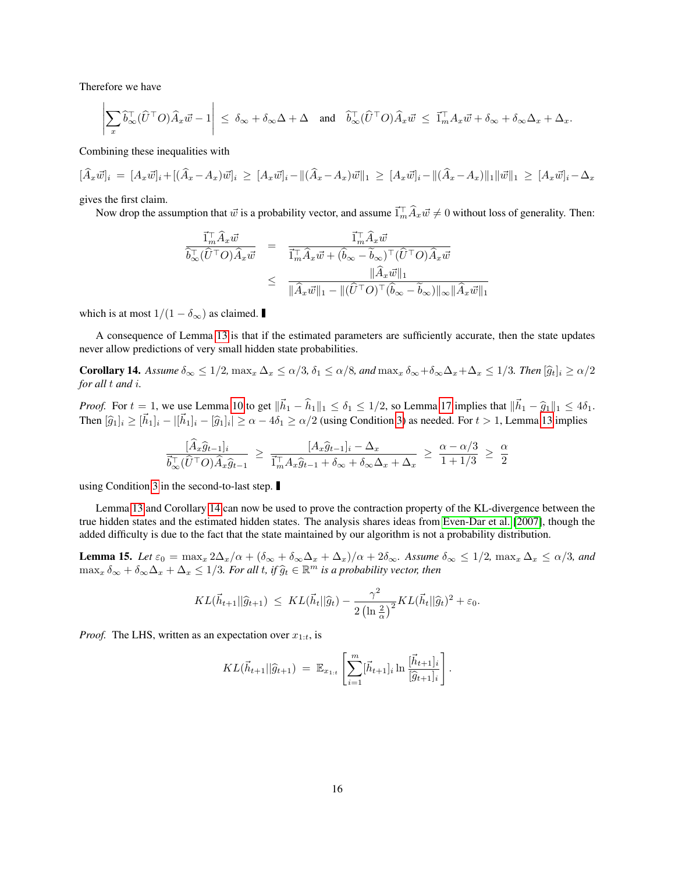Therefore we have

$$
\left|\sum_{x}\widehat{b}_{\infty}^{\top}(\widehat{U}^{\top}O)\widehat{A}_{x}\vec{w}-1\right| \leq \delta_{\infty}+\delta_{\infty}\Delta+\Delta \quad \text{and} \quad \widehat{b}_{\infty}^{\top}(\widehat{U}^{\top}O)\widehat{A}_{x}\vec{w} \leq \vec{1}_{m}^{\top}A_{x}\vec{w}+\delta_{\infty}+\delta_{\infty}\Delta_{x}+\Delta_{x}.
$$

Combining these inequalities with

$$
[\hat{A}_x\vec{w}]_i = [A_x\vec{w}]_i + [(\hat{A}_x - A_x)\vec{w}]_i \geq [A_x\vec{w}]_i - ||(\hat{A}_x - A_x)\vec{w}||_1 \geq [A_x\vec{w}]_i - ||(\hat{A}_x - A_x)||_1 \|\vec{w}\|_1 \geq [A_x\vec{w}]_i - \Delta_x
$$

gives the first claim.

Now drop the assumption that  $\vec{w}$  is a probability vector, and assume  $\vec{1}_m^{\top} \hat{A}_x \vec{w} \neq 0$  without loss of generality. Then:

$$
\frac{\vec{1}_{m}^{\top}\hat{A}_{x}\vec{w}}{\hat{b}_{\infty}^{\top}(\hat{U}^{\top}O)\hat{A}_{x}\vec{w}} = \frac{\vec{1}_{m}^{\top}\hat{A}_{x}\vec{w}}{\vec{1}_{m}^{\top}\hat{A}_{x}\vec{w} + (\hat{b}_{\infty} - \tilde{b}_{\infty})^{\top}(\hat{U}^{\top}O)\hat{A}_{x}\vec{w}}\n\leq \frac{\|\hat{A}_{x}\vec{w}\|_{1}}{\|\hat{A}_{x}\vec{w}\|_{1} - \|(\hat{U}^{\top}O)^{\top}(\hat{b}_{\infty} - \tilde{b}_{\infty})\|_{\infty}\|\hat{A}_{x}\vec{w}\|_{1}}
$$

which is at most  $1/(1 - \delta_{\infty})$  as claimed.

A consequence of Lemma [13](#page-14-0) is that if the estimated parameters are sufficiently accurate, then the state updates never allow predictions of very small hidden state probabilities.

<span id="page-15-0"></span>**Corollary 14.** Assume  $\delta_{\infty} \leq 1/2$ ,  $\max_{x} \Delta_x \leq \alpha/3$ ,  $\delta_1 \leq \alpha/8$ , and  $\max_{x} \delta_{\infty} + \delta_{\infty} \Delta_x + \Delta_x \leq 1/3$ . Then  $[\hat{g}_t]_i \geq \alpha/2$ *for all* t *and* i*.*

*Proof.* For  $t = 1$ , we use Lemma [10](#page-11-0) to get  $\|\vec{h}_1 - \hat{h}_1\|_1 \le \delta_1 \le 1/2$ , so Lemma [17](#page-19-12) implies that  $\|\vec{h}_1 - \hat{g}_1\|_1 \le 4\delta_1$ . Then  $[\hat{g}_1]_i \geq [\vec{h}_1]_i - [\vec{h}_1]_i - [\hat{g}_1]_i \geq \alpha - 4\delta_1 \geq \alpha/2$  (using Condition [3\)](#page-8-1) as needed. For  $t > 1$ , Lemma [13](#page-14-0) implies

$$
\frac{[A_x\hat{g}_{t-1}]_i}{\vec{b}_{\infty}^{\top}(\hat{U}^{\top}O)\hat{A}_x\hat{g}_{t-1}} \geq \frac{[A_x\hat{g}_{t-1}]_i - \Delta_x}{\vec{1}_m^{\top}A_x\hat{g}_{t-1} + \delta_{\infty} + \delta_{\infty}\Delta_x + \Delta_x} \geq \frac{\alpha - \alpha/3}{1 + 1/3} \geq \frac{\alpha}{2}
$$

using Condition [3](#page-8-1) in the second-to-last step.

Lemma [13](#page-14-0) and Corollary [14](#page-15-0) can now be used to prove the contraction property of the KL-divergence between the true hidden states and the estimated hidden states. The analysis shares ideas from [Even-Dar et al.](#page-19-10) [\[2007\]](#page-19-10), though the added difficulty is due to the fact that the state maintained by our algorithm is not a probability distribution.

<span id="page-15-1"></span>**Lemma 15.** Let  $\varepsilon_0 = \max_x 2\Delta_x/\alpha + (\delta_\infty + \delta_\infty\Delta_x + \Delta_x)/\alpha + 2\delta_\infty$ . Assume  $\delta_\infty \leq 1/2$ ,  $\max_x \Delta_x \leq \alpha/3$ , and  $\max_x \delta_\infty + \delta_\infty \Delta_x + \Delta_x \leq 1/3$ . For all t, if  $\widehat{g}_t \in \mathbb{R}^m$  is a probability vector, then

$$
KL(\vec{h}_{t+1}||\widehat{g}_{t+1}) \leq KL(\vec{h}_t||\widehat{g}_t) - \frac{\gamma^2}{2\left(\ln\frac{2}{\alpha}\right)^2}KL(\vec{h}_t||\widehat{g}_t)^2 + \varepsilon_0.
$$

*Proof.* The LHS, written as an expectation over  $x_{1:t}$ , is

$$
KL(\vec{h}_{t+1}||\widehat{g}_{t+1}) = \mathbb{E}_{x_{1:t}}\left[\sum_{i=1}^{m} [\vec{h}_{t+1}]_i \ln \frac{[\vec{h}_{t+1}]_i}{[\widehat{g}_{t+1}]_i}\right].
$$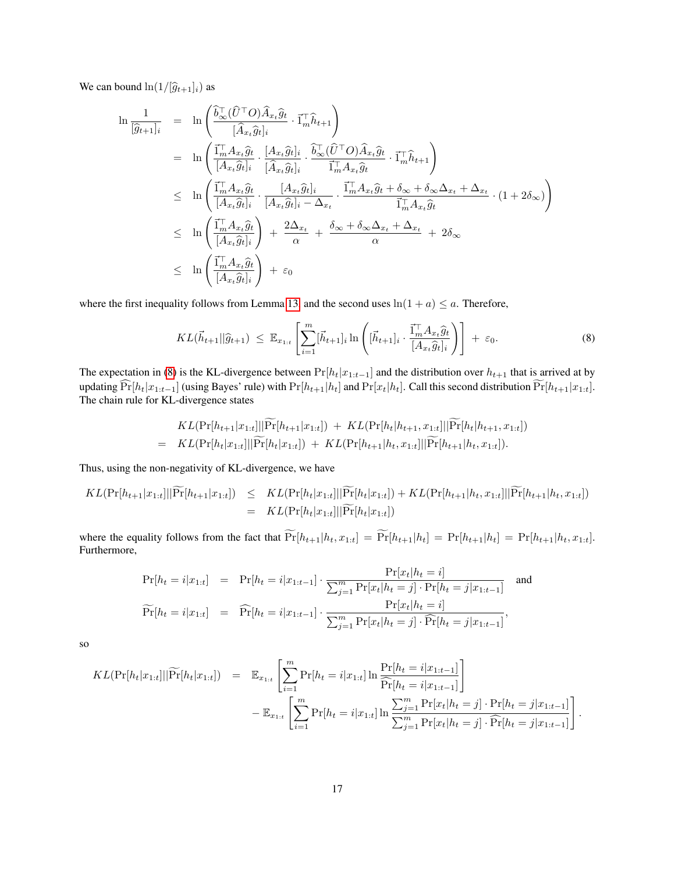We can bound  $\ln(1/[\hat{g}_{t+1}]_i)$  as

$$
\ln \frac{1}{[\hat{g}_{t+1}]_i} = \ln \left( \frac{\hat{b}_{\infty}^{\top} (\hat{U}^{\top} O) \hat{A}_{x_t} \hat{g}_t}{[\hat{A}_{x_t} \hat{g}_t]_i} \cdot \vec{1}_m^{\top} \hat{h}_{t+1} \right)
$$
\n
$$
= \ln \left( \frac{\vec{1}_m^{\top} A_{x_t} \hat{g}_t}{[A_{x_t} \hat{g}_t]_i} \cdot \frac{[A_{x_t} \hat{g}_t]_i}{[\hat{A}_{x_t} \hat{g}_t]_i} \cdot \frac{\hat{b}_{\infty}^{\top} (\hat{U}^{\top} O) \hat{A}_{x_t} \hat{g}_t}{\vec{1}_m^{\top} A_{x_t} \hat{g}_t} \cdot \vec{1}_m^{\top} \hat{h}_{t+1} \right)
$$
\n
$$
\leq \ln \left( \frac{\vec{1}_m^{\top} A_{x_t} \hat{g}_t}{[A_{x_t} \hat{g}_t]_i} \cdot \frac{[A_{x_t} \hat{g}_t]_i}{[A_{x_t} \hat{g}_t]_i - \Delta_{x_t}} \cdot \frac{\vec{1}_m^{\top} A_{x_t} \hat{g}_t + \delta_{\infty} + \delta_{\infty} \Delta_{x_t} + \Delta_{x_t}}{\vec{1}_m^{\top} A_{x_t} \hat{g}_t} \cdot (1 + 2\delta_{\infty}) \right)
$$
\n
$$
\leq \ln \left( \frac{\vec{1}_m^{\top} A_{x_t} \hat{g}_t}{[A_{x_t} \hat{g}_t]_i} \right) + \frac{2 \Delta_{x_t}}{\alpha} + \frac{\delta_{\infty} + \delta_{\infty} \Delta_{x_t} + \Delta_{x_t}}{\alpha} + 2\delta_{\infty}
$$
\n
$$
\leq \ln \left( \frac{\vec{1}_m^{\top} A_{x_t} \hat{g}_t}{[A_{x_t} \hat{g}_t]_i} \right) + \varepsilon_0
$$

where the first inequality follows from Lemma [13,](#page-14-0) and the second uses  $ln(1 + a) \le a$ . Therefore,

<span id="page-16-0"></span>
$$
KL(\vec{h}_{t+1}||\widehat{g}_{t+1}) \leq \mathbb{E}_{x_{1:t}}\left[\sum_{i=1}^{m} [\vec{h}_{t+1}]_i \ln\left([\vec{h}_{t+1}]_i \cdot \frac{\vec{1}_m^\top A_{x_t} \widehat{g}_t}{[A_{x_t} \widehat{g}_t]_i}\right)\right] + \varepsilon_0. \tag{8}
$$

The expectation in [\(8\)](#page-16-0) is the KL-divergence between  $Pr[h_t|x_{1:t-1}]$  and the distribution over  $h_{t+1}$  that is arrived at by updating  $\widehat{\Pr}[h_t|x_{1:t-1}]$  (using Bayes' rule) with  $\Pr[h_{t+1}|h_t]$  and  $\Pr[x_t|h_t]$ . Call this second distribution  $\widetilde{\Pr}[h_{t+1}|x_{1:t}]$ . The chain rule for KL-divergence states

$$
KL(\Pr[h_{t+1}|x_{1:t}]||\Pr[h_{t+1}|x_{1:t}]) + KL(\Pr[h_t|h_{t+1}, x_{1:t}]||\Pr[h_t|h_{t+1}, x_{1:t}])
$$
  
= 
$$
KL(\Pr[h_t|x_{1:t}]||\widetilde{\Pr}[h_t|x_{1:t}]) + KL(\Pr[h_{t+1}|h_t, x_{1:t}]||\widetilde{\Pr}[h_{t+1}|h_t, x_{1:t}]).
$$

Thus, using the non-negativity of KL-divergence, we have

$$
KL(\Pr[h_{t+1}|x_{1:t}]||\widetilde{\Pr}[h_{t+1}|x_{1:t}]) \leq KL(\Pr[h_t|x_{1:t}]||\widetilde{\Pr}[h_t|x_{1:t}]) + KL(\Pr[h_{t+1}|h_t, x_{1:t}]||\widetilde{\Pr}[h_{t+1}|h_t, x_{1:t}])
$$
  
= 
$$
KL(\Pr[h_t|x_{1:t}]||\widetilde{\Pr}[h_t|x_{1:t}])
$$

where the equality follows from the fact that  $\widetilde{\Pr}[h_{t+1}|h_t, x_{1:t}] = \widetilde{\Pr}[h_{t+1}|h_t] = \Pr[h_{t+1}|h_t] = \Pr[h_{t+1}|h_t, x_{1:t}]$ . Furthermore,

$$
Pr[h_t = i|x_{1:t}] = Pr[h_t = i|x_{1:t-1}] \cdot \frac{Pr[x_t|h_t = i]}{\sum_{j=1}^{m} Pr[x_t|h_t = j] \cdot Pr[h_t = j|x_{1:t-1}]}
$$
and  

$$
\widetilde{Pr}[h_t = i|x_{1:t}] = \widehat{Pr}[h_t = i|x_{1:t-1}] \cdot \frac{Pr[x_t|h_t = j] \cdot Pr[h_t = j|x_{1:t-1}]}{\sum_{j=1}^{m} Pr[x_t|h_t = j] \cdot \widehat{Pr}[h_t = j|x_{1:t-1}]},
$$

so

$$
KL(\Pr[h_t|x_{1:t}]||\widetilde{\Pr}[h_t|x_{1:t}]) = \mathbb{E}_{x_{1:t}}\left[\sum_{i=1}^m \Pr[h_t = i|x_{1:t}] \ln \frac{\Pr[h_t = i|x_{1:t-1}]}{\widehat{\Pr}[h_t = i|x_{1:t-1}]}\right] - \mathbb{E}_{x_{1:t}}\left[\sum_{i=1}^m \Pr[h_t = i|x_{1:t}] \ln \frac{\sum_{j=1}^m \Pr[x_t|h_t = j] \cdot \Pr[h_t = j|x_{1:t-1}]}{\sum_{j=1}^m \Pr[x_t|h_t = j] \cdot \widehat{\Pr}[h_t = j|x_{1:t-1}]}\right].
$$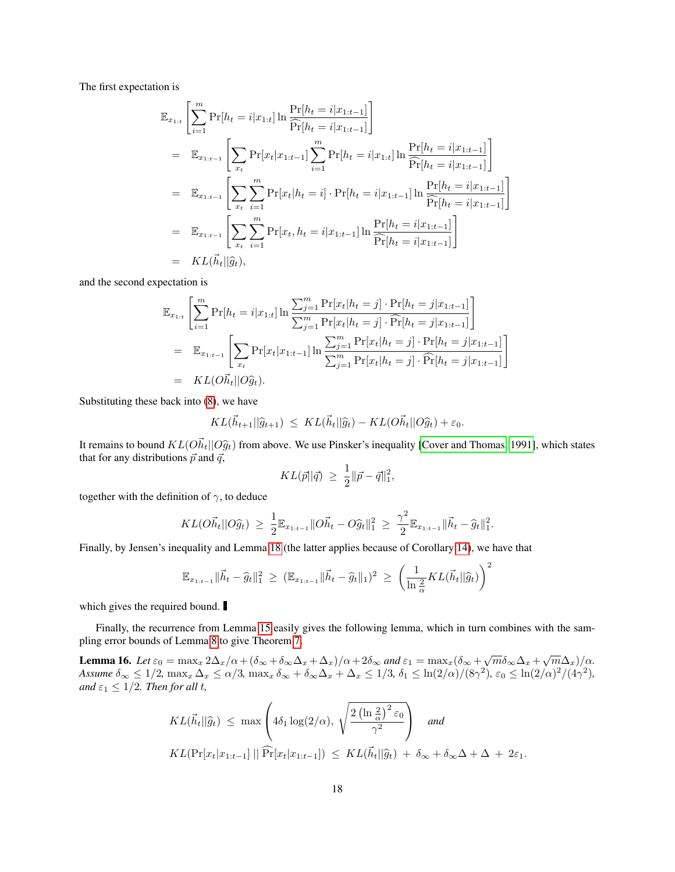The first expectation is

$$
\mathbb{E}_{x_{1:t}}\left[\sum_{i=1}^{m} \Pr[h_{t} = i | x_{1:t}] \ln \frac{\Pr[h_{t} = i | x_{1:t-1}]}{\widehat{\Pr}[h_{t} = i | x_{1:t-1}]} \right]
$$
\n
$$
= \mathbb{E}_{x_{1:t-1}}\left[\sum_{x_{t}} \Pr[x_{t} | x_{1:t-1}] \sum_{i=1}^{m} \Pr[h_{t} = i | x_{1:t}] \ln \frac{\Pr[h_{t} = i | x_{1:t-1}]}{\widehat{\Pr}[h_{t} = i | x_{1:t-1}]} \right]
$$
\n
$$
= \mathbb{E}_{x_{1:t-1}}\left[\sum_{x_{t}} \sum_{i=1}^{m} \Pr[x_{t} | h_{t} = i] \cdot \Pr[h_{t} = i | x_{1:t-1}] \ln \frac{\Pr[h_{t} = i | x_{1:t-1}]}{\widehat{\Pr}[h_{t} = i | x_{1:t-1}]} \right]
$$
\n
$$
= \mathbb{E}_{x_{1:t-1}}\left[\sum_{x_{t}} \sum_{i=1}^{m} \Pr[x_{t}, h_{t} = i | x_{1:t-1}] \ln \frac{\Pr[h_{t} = i | x_{1:t-1}]}{\widehat{\Pr}[h_{t} = i | x_{1:t-1}]} \right]
$$
\n
$$
= KL(\vec{h}_{t} || \hat{g}_{t}),
$$

and the second expectation is

$$
\mathbb{E}_{x_{1:t}}\left[\sum_{i=1}^{m} \Pr[h_{t} = i | x_{1:t}] \ln \frac{\sum_{j=1}^{m} \Pr[x_{t} | h_{t} = j] \cdot \Pr[h_{t} = j | x_{1:t-1}]}{\sum_{j=1}^{m} \Pr[x_{t} | h_{t} = j] \cdot \widehat{\Pr}[h_{t} = j | x_{1:t-1}]} \right]
$$
\n
$$
= \mathbb{E}_{x_{1:t-1}}\left[\sum_{x_{t}} \Pr[x_{t} | x_{1:t-1}] \ln \frac{\sum_{j=1}^{m} \Pr[x_{t} | h_{t} = j] \cdot \Pr[h_{t} = j | x_{1:t-1}]}{\sum_{j=1}^{m} \Pr[x_{t} | h_{t} = j] \cdot \widehat{\Pr}[h_{t} = j | x_{1:t-1}]} \right]
$$
\n
$$
= KL(O\vec{h}_{t} || O\widehat{g}_{t}).
$$

Substituting these back into [\(8\)](#page-16-0), we have

$$
KL(\vec{h}_{t+1}||\widehat{g}_{t+1}) \leq KL(\vec{h}_{t}||\widehat{g}_{t}) - KL(\overrightarrow{O}\vec{h}_{t}||\widehat{O}\widehat{g}_{t}) + \varepsilon_0.
$$

It remains to bound  $KL(O\vec{h}_t||O\hat{g}_t)$  from above. We use Pinsker's inequality [\[Cover and Thomas, 1991\]](#page-19-13), which states that for any distributions  $\vec{p}$  and  $\vec{q}$ ,

$$
KL(\vec{p}||\vec{q}) \ \geq \ \frac{1}{2} ||\vec{p} - \vec{q}||_1^2,
$$

together with the definition of  $\gamma$ , to deduce

$$
KL(O\vec{h}_t||O\hat{g}_t) \geq \frac{1}{2} \mathbb{E}_{x_{1:t-1}} ||O\vec{h}_t - O\hat{g}_t||_1^2 \geq \frac{\gamma^2}{2} \mathbb{E}_{x_{1:t-1}} ||\vec{h}_t - \hat{g}_t||_1^2.
$$

Finally, by Jensen's inequality and Lemma [18](#page-19-14) (the latter applies because of Corollary [14\)](#page-15-0), we have that

$$
\mathbb{E}_{x_{1:t-1}} \|\vec{h}_t - \hat{g}_t\|_1^2 \geq (\mathbb{E}_{x_{1:t-1}} \|\vec{h}_t - \hat{g}_t\|_1)^2 \geq \left(\frac{1}{\ln \frac{2}{\alpha}} KL(\vec{h}_t || \hat{g}_t)\right)^2
$$

which gives the required bound.

Finally, the recurrence from Lemma [15](#page-15-1) easily gives the following lemma, which in turn combines with the sampling error bounds of Lemma [8](#page-9-1) to give Theorem [7.](#page-8-2)

<span id="page-17-0"></span>**Lemma 16.** Let  $\varepsilon_0 = \max_x 2\Delta_x/\alpha + (\delta_\infty + \delta_\infty\Delta_x + \Delta_x)/\alpha + 2\delta_\infty$  and  $\varepsilon_1 = \max_x (\delta_\infty + \sqrt{m}\delta_\infty\Delta_x + \sqrt{m}\Delta_x)/\alpha$ .  $\Delta s$ *sume*  $\delta_{\infty} \leq 1/2$ ,  $\max_{x} \Delta_x \leq \alpha/3$ ,  $\max_{x} \delta_{\infty} + \delta_{\infty} \Delta_x + \Delta_x \leq 1/3$ ,  $\delta_1 \leq \ln(2/\alpha)/(8\gamma^2)$ ,  $\varepsilon_0 \leq \ln(2/\alpha)^2/(4\gamma^2)$ , *and*  $\varepsilon_1 \leq 1/2$ *. Then for all t,* 

$$
KL(\vec{h}_t||\hat{g}_t) \le \max\left(4\delta_1 \log(2/\alpha), \sqrt{\frac{2\left(\ln\frac{2}{\alpha}\right)^2 \varepsilon_0}{\gamma^2}}\right) \text{ and}
$$
  

$$
KL(\Pr[x_t|x_{1:t-1}]||\widehat{\Pr}[x_t|x_{1:t-1}]) \le KL(\vec{h}_t||\hat{g}_t) + \delta_\infty + \delta_\infty\Delta + \Delta + 2\varepsilon_1.
$$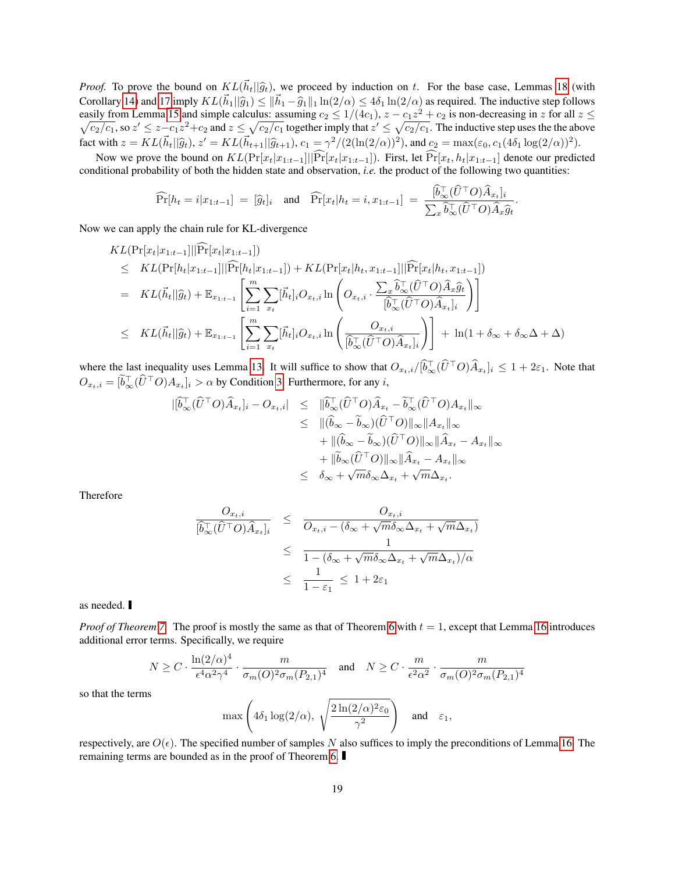*Proof.* To prove the bound on  $KL(\vec{h}_t||\hat{g}_t)$ , we proceed by induction on t. For the base case, Lemmas [18](#page-19-14) (with Corollary [14\)](#page-15-0) and [17](#page-19-12) imply  $KL(\vec{h}_1 || \hat{g}_1) \le ||\vec{h}_1 - \hat{g}_1||_1 \ln(2/\alpha) \le 4\delta_1 \ln(2/\alpha)$  as required. The inductive step follows easily from Lemma [15](#page-15-1) and simple calculus: assuming  $c_2 \le 1/(4c_1)$ ,  $z - c_1 z^2 + c_2$  is non-decre  $\sqrt{}$  $z^2 + c_2$  is non-decreasing in z for all  $z \leq$  $\sqrt{c_2/c_1}$ , so  $z' \leq z - c_1 z^2 + c_2$  and  $z \leq \sqrt{c_2/c_1}$  together imply that  $z' \leq \sqrt{c_2/c_1}$ . The inductive step uses the the above fact with  $z = KL(\vec{h}_t || \hat{g}_t), z' = KL(\vec{h}_{t+1} || \hat{g}_{t+1}), c_1 = \gamma^2/(2(\ln(2/\alpha))^2)$ , and  $c_2 = \max(\varepsilon_0, c_1(4\delta_1 \log(2/\alpha))^2)$ .

Now we prove the bound on  $KL(\Pr[x_t|x_{1:t-1}]||\widehat{Pr}[x_t|x_{1:t-1}])$ . First, let  $\widehat{Pr}[x_t, h_t|x_{1:t-1}]$  denote our predicted conditional probability of both the hidden state and observation, *i.e.* the product of the following two quantities:

$$
\widehat{\Pr}[h_t = i | x_{1:t-1}] = [\widehat{g}_t]_i \quad \text{and} \quad \widehat{\Pr}[x_t | h_t = i, x_{1:t-1}] = \frac{[\widehat{b}_{\infty}^\top (\widehat{U}^\top O) \widehat{A}_{x_t}]_i}{\sum_x \widehat{b}_{\infty}^\top (\widehat{U}^\top O) \widehat{A}_x \widehat{g}_t}.
$$

Now we can apply the chain rule for KL-divergence

$$
KL(\Pr[x_t|x_{1:t-1}]||\widehat{\Pr}[x_t|x_{1:t-1}])
$$
\n
$$
\leq KL(\Pr[h_t|x_{1:t-1}]||\widehat{\Pr}[h_t|x_{1:t-1}]) + KL(\Pr[x_t|h_t, x_{1:t-1}]||\widehat{\Pr}[x_t|h_t, x_{1:t-1}])
$$
\n
$$
= KL(\vec{h}_t||\widehat{g}_t) + \mathbb{E}_{x_{1:t-1}}\left[\sum_{i=1}^m \sum_{x_t}[\vec{h}_t]_iO_{x_t,i}\ln\left(O_{x_t,i}\cdot \frac{\sum_x \hat{b}_{\infty}^{\top}(\widehat{U}^{\top}O)\widehat{A}_x\widehat{g}_t}{[\widehat{b}_{\infty}^{\top}(\widehat{U}^{\top}O)\widehat{A}_{x_t}]_i}\right)\right]
$$
\n
$$
\leq KL(\vec{h}_t||\widehat{g}_t) + \mathbb{E}_{x_{1:t-1}}\left[\sum_{i=1}^m \sum_{x_t}[\vec{h}_t]_iO_{x_t,i}\ln\left(\frac{O_{x_t,i}}{[\widehat{b}_{\infty}^{\top}(\widehat{U}^{\top}O)\widehat{A}_{x_t}]_i}\right)\right] + \ln(1+\delta_{\infty}+\delta_{\infty}\Delta+\Delta)
$$

where the last inequality uses Lemma [13.](#page-14-0) It will suffice to show that  $O_{x_t,i}/[\tilde{b}_{\infty}^{\top}(\tilde{U}^{\top}O)\tilde{A}_{x_t}]_i \leq 1 + 2\varepsilon_1$ . Note that  $O_{x_t, i} = [\tilde{b}_{\infty}^{\top}(\hat{U}^{\top}O)A_{x_t}]_i > \alpha$  by Condition [3.](#page-8-1) Furthermore, for any  $i$ ,

$$
\begin{array}{rcl}\n|\hat{b}_{\infty}^{\top}(\hat{U}^{\top}O)\hat{A}_{x_{t}}|_{i} - O_{x_{t},i}| & \leq & \|\hat{b}_{\infty}^{\top}(\hat{U}^{\top}O)\hat{A}_{x_{t}} - \tilde{b}_{\infty}^{\top}(\hat{U}^{\top}O)A_{x_{t}}\|_{\infty} \\
& \leq & \|\hat{b}_{\infty} - \tilde{b}_{\infty}\rangle(\hat{U}^{\top}O)\|_{\infty}\|A_{x_{t}}\|_{\infty} \\
& & + \|\hat{b}_{\infty} - \tilde{b}_{\infty}\rangle(\hat{U}^{\top}O)\|_{\infty}\|\hat{A}_{x_{t}} - A_{x_{t}}\|_{\infty} \\
& & + \|\tilde{b}_{\infty}(\hat{U}^{\top}O)\|_{\infty}\|\hat{A}_{x_{t}} - A_{x_{t}}\|_{\infty} \\
& \leq & \delta_{\infty} + \sqrt{m}\delta_{\infty}\Delta_{x_{t}} + \sqrt{m}\Delta_{x_{t}}.\n\end{array}
$$

Therefore

$$
\frac{O_{x_t,i}}{[\hat{b}_{\infty}^{\top}(\hat{U}^{\top}O)\hat{A}_{x_t}]_i} \leq \frac{O_{x_t,i}}{O_{x_t,i} - (\delta_{\infty} + \sqrt{m}\delta_{\infty}\Delta_{x_t} + \sqrt{m}\Delta_{x_t})}
$$
\n
$$
\leq \frac{1}{1 - (\delta_{\infty} + \sqrt{m}\delta_{\infty}\Delta_{x_t} + \sqrt{m}\Delta_{x_t})/\alpha}
$$
\n
$$
\leq \frac{1}{1 - \varepsilon_1} \leq 1 + 2\varepsilon_1
$$

as needed.

*Proof of Theorem* [7.](#page-8-2) The proof is mostly the same as that of Theorem [6](#page-8-0) with  $t = 1$ , except that Lemma [16](#page-17-0) introduces additional error terms. Specifically, we require

$$
N \ge C \cdot \frac{\ln(2/\alpha)^4}{\epsilon^4 \alpha^2 \gamma^4} \cdot \frac{m}{\sigma_m(O)^2 \sigma_m(P_{2,1})^4} \quad \text{and} \quad N \ge C \cdot \frac{m}{\epsilon^2 \alpha^2} \cdot \frac{m}{\sigma_m(O)^2 \sigma_m(P_{2,1})^4}
$$

so that the terms

$$
\max\left(4\delta_1\log(2/\alpha),\ \sqrt{\frac{2\ln(2/\alpha)^2\varepsilon_0}{\gamma^2}}\right)\quad\text{and}\quad\varepsilon_1,
$$

respectively, are  $O(\epsilon)$ . The specified number of samples N also suffices to imply the preconditions of Lemma [16.](#page-17-0) The remaining terms are bounded as in the proof of Theorem [6.](#page-8-0)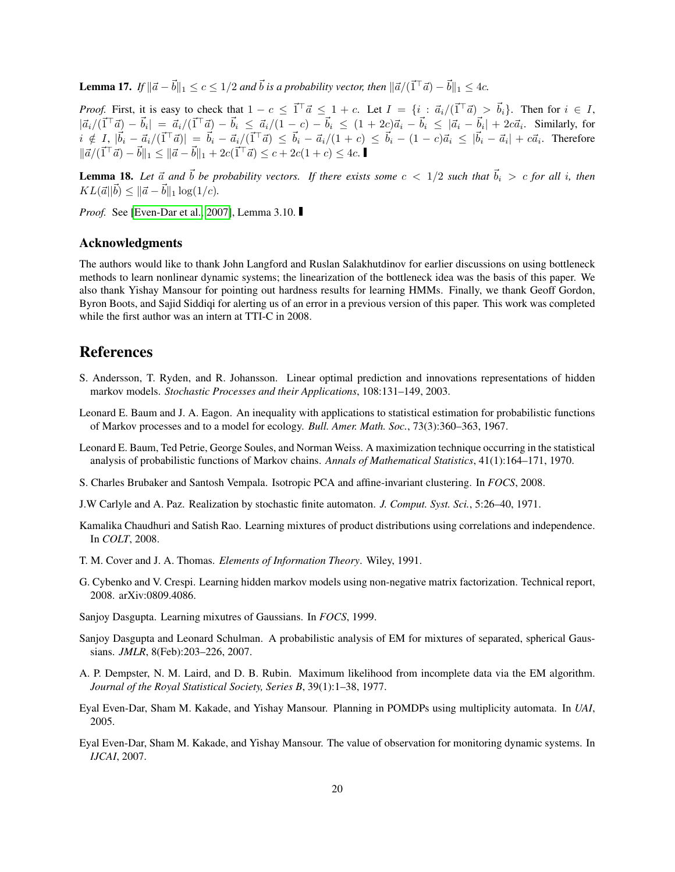<span id="page-19-12"></span>**Lemma 17.** If  $\|\vec{a} - \vec{b}\|_1 \le c \le 1/2$  and  $\vec{b}$  is a probability vector, then  $\|\vec{a}/(\vec{1}^\top \vec{a}) - \vec{b}\|_1 \le 4c$ .

*Proof.* First, it is easy to check that  $1 - c \leq \vec{1}^\top \vec{a} \leq 1 + c$ . Let  $I = \{i : \vec{a}_i/(\vec{1}^\top \vec{a}) > \vec{b}_i\}$ . Then for  $i \in I$ ,  $|\vec{a}_i/(\vec{1}^\top \vec{a}) - \vec{b}_i| = |\vec{a}_i/(\vec{1}^\top \vec{a}) - \vec{b}_i| \leq |\vec{a}_i - \vec{b}_i| \leq (1 + 2c)\vec{a}_i - \vec{b}_i| \leq |\vec{a}_i - \vec{b}_i| + 2c\vec{a}_i$ . Similarly, for  $i \notin I, |\vec{b}_i - \vec{a}_i/(\vec{1}^\top \vec{a})| = |\vec{b}_i - \vec{a}_i/(\vec{1}^\top \vec{a})| \leq |\vec{b}_i - \vec{a}_i/(\vec{1} + c)| \leq |\vec{b}_i - \vec{a}_i| + |\vec{a}_i - \vec{a}_i| + c\vec{a}_i$ . Therefore  $\|\vec{a}/(\vec{1}^\top \vec{a}) - \vec{b}\|_1 \leq \|\vec{a} - \vec{b}\|_1 + 2c(\vec{1}^\top \vec{a}) \leq c + 2c(1+c) \leq 4c.$ 

<span id="page-19-14"></span>**Lemma 18.** Let  $\vec{a}$  and  $\vec{b}$  be probability vectors. If there exists some  $c < 1/2$  such that  $\vec{b}_i > c$  for all i, then  $KL(\vec{a}||\vec{b}) \leq ||\vec{a} - \vec{b}||_1 \log(1/c).$ 

*Proof.* See [\[Even-Dar et al., 2007\]](#page-19-10), Lemma 3.10.

## Acknowledgments

The authors would like to thank John Langford and Ruslan Salakhutdinov for earlier discussions on using bottleneck methods to learn nonlinear dynamic systems; the linearization of the bottleneck idea was the basis of this paper. We also thank Yishay Mansour for pointing out hardness results for learning HMMs. Finally, we thank Geoff Gordon, Byron Boots, and Sajid Siddiqi for alerting us of an error in a previous version of this paper. This work was completed while the first author was an intern at TTI-C in 2008.

# References

- <span id="page-19-8"></span>S. Andersson, T. Ryden, and R. Johansson. Linear optimal prediction and innovations representations of hidden markov models. *Stochastic Processes and their Applications*, 108:131–149, 2003.
- <span id="page-19-0"></span>Leonard E. Baum and J. A. Eagon. An inequality with applications to statistical estimation for probabilistic functions of Markov processes and to a model for ecology. *Bull. Amer. Math. Soc.*, 73(3):360–363, 1967.
- <span id="page-19-1"></span>Leonard E. Baum, Ted Petrie, George Soules, and Norman Weiss. A maximization technique occurring in the statistical analysis of probabilistic functions of Markov chains. *Annals of Mathematical Statistics*, 41(1):164–171, 1970.
- <span id="page-19-6"></span>S. Charles Brubaker and Santosh Vempala. Isotropic PCA and affine-invariant clustering. In *FOCS*, 2008.
- <span id="page-19-7"></span>J.W Carlyle and A. Paz. Realization by stochastic finite automaton. *J. Comput. Syst. Sci.*, 5:26–40, 1971.
- <span id="page-19-5"></span>Kamalika Chaudhuri and Satish Rao. Learning mixtures of product distributions using correlations and independence. In *COLT*, 2008.
- <span id="page-19-13"></span>T. M. Cover and J. A. Thomas. *Elements of Information Theory*. Wiley, 1991.
- <span id="page-19-11"></span>G. Cybenko and V. Crespi. Learning hidden markov models using non-negative matrix factorization. Technical report, 2008. arXiv:0809.4086.
- <span id="page-19-3"></span>Sanjoy Dasgupta. Learning mixutres of Gaussians. In *FOCS*, 1999.
- <span id="page-19-4"></span>Sanjoy Dasgupta and Leonard Schulman. A probabilistic analysis of EM for mixtures of separated, spherical Gaussians. *JMLR*, 8(Feb):203–226, 2007.
- <span id="page-19-2"></span>A. P. Dempster, N. M. Laird, and D. B. Rubin. Maximum likelihood from incomplete data via the EM algorithm. *Journal of the Royal Statistical Society, Series B*, 39(1):1–38, 1977.
- <span id="page-19-9"></span>Eyal Even-Dar, Sham M. Kakade, and Yishay Mansour. Planning in POMDPs using multiplicity automata. In *UAI*, 2005.
- <span id="page-19-10"></span>Eyal Even-Dar, Sham M. Kakade, and Yishay Mansour. The value of observation for monitoring dynamic systems. In *IJCAI*, 2007.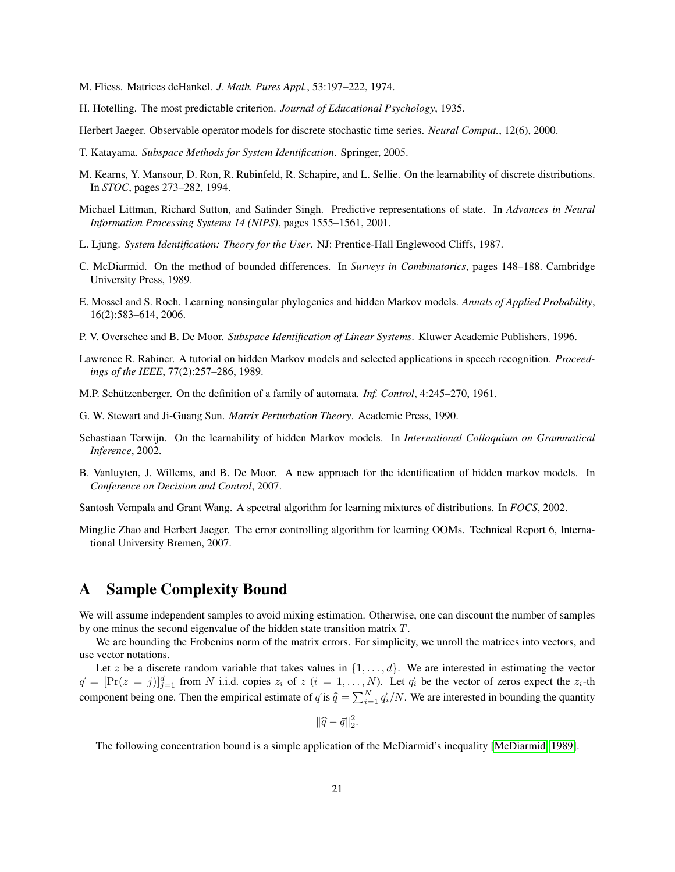- <span id="page-20-8"></span>M. Fliess. Matrices deHankel. *J. Math. Pures Appl.*, 53:197–222, 1974.
- <span id="page-20-3"></span>H. Hotelling. The most predictable criterion. *Journal of Educational Psychology*, 1935.
- <span id="page-20-9"></span>Herbert Jaeger. Observable operator models for discrete stochastic time series. *Neural Comput.*, 12(6), 2000.
- <span id="page-20-6"></span>T. Katayama. *Subspace Methods for System Identification*. Springer, 2005.
- <span id="page-20-14"></span>M. Kearns, Y. Mansour, D. Ron, R. Rubinfeld, R. Schapire, and L. Sellie. On the learnability of discrete distributions. In *STOC*, pages 273–282, 1994.
- <span id="page-20-10"></span>Michael Littman, Richard Sutton, and Satinder Singh. Predictive representations of state. In *Advances in Neural Information Processing Systems 14 (NIPS)*, pages 1555–1561, 2001.
- <span id="page-20-4"></span>L. Ljung. *System Identification: Theory for the User*. NJ: Prentice-Hall Englewood Cliffs, 1987.
- <span id="page-20-16"></span>C. McDiarmid. On the method of bounded differences. In *Surveys in Combinatorics*, pages 148–188. Cambridge University Press, 1989.
- <span id="page-20-13"></span>E. Mossel and S. Roch. Learning nonsingular phylogenies and hidden Markov models. *Annals of Applied Probability*, 16(2):583–614, 2006.
- <span id="page-20-5"></span>P. V. Overschee and B. De Moor. *Subspace Identification of Linear Systems*. Kluwer Academic Publishers, 1996.
- <span id="page-20-0"></span>Lawrence R. Rabiner. A tutorial on hidden Markov models and selected applications in speech recognition. *Proceedings of the IEEE*, 77(2):257–286, 1989.
- <span id="page-20-7"></span>M.P. Schützenberger. On the definition of a family of automata. *Inf. Control*, 4:245–270, 1961.
- <span id="page-20-18"></span>G. W. Stewart and Ji-Guang Sun. *Matrix Perturbation Theory*. Academic Press, 1990.
- <span id="page-20-1"></span>Sebastiaan Terwijn. On the learnability of hidden Markov models. In *International Colloquium on Grammatical Inference*, 2002.
- <span id="page-20-11"></span>B. Vanluyten, J. Willems, and B. De Moor. A new approach for the identification of hidden markov models. In *Conference on Decision and Control*, 2007.
- <span id="page-20-2"></span>Santosh Vempala and Grant Wang. A spectral algorithm for learning mixtures of distributions. In *FOCS*, 2002.
- <span id="page-20-12"></span>MingJie Zhao and Herbert Jaeger. The error controlling algorithm for learning OOMs. Technical Report 6, International University Bremen, 2007.

# <span id="page-20-15"></span>A Sample Complexity Bound

We will assume independent samples to avoid mixing estimation. Otherwise, one can discount the number of samples by one minus the second eigenvalue of the hidden state transition matrix T.

We are bounding the Frobenius norm of the matrix errors. For simplicity, we unroll the matrices into vectors, and use vector notations.

Let z be a discrete random variable that takes values in  $\{1, \ldots, d\}$ . We are interested in estimating the vector  $\vec{q} = [\Pr(z = j)]_{j=1}^d$  from N i.i.d. copies  $z_i$  of  $z$   $(i = 1, ..., N)$ . Let  $\vec{q}_i$  be the vector of zeros expect the  $z_i$ -th component being one. Then the empirical estimate of  $\vec{q}$  is  $\hat{q} = \sum_{i=1}^{N} \vec{q}_i/N$ . We are interested in bounding the quantity

 $\|\widehat{q}-\vec{q}\|^2_2.$ 

<span id="page-20-17"></span>The following concentration bound is a simple application of the McDiarmid's inequality [\[McDiarmid, 1989\]](#page-20-16).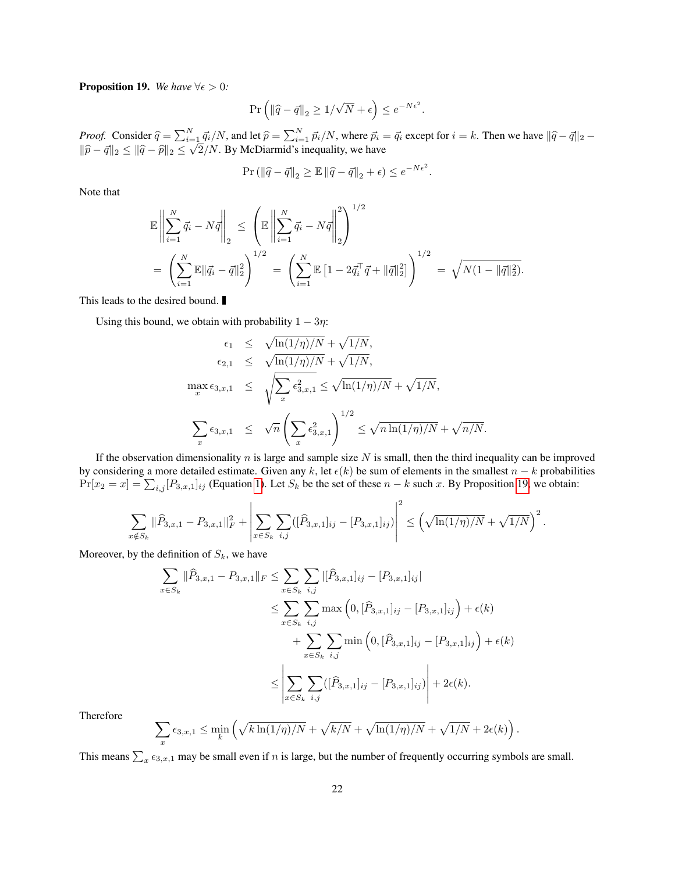**Proposition 19.** *We have*  $\forall \epsilon > 0$ *:* 

$$
\Pr\left(\left\|\widehat{q} - \overrightarrow{q}\right\|_{2} \geq 1/\sqrt{N} + \epsilon\right) \leq e^{-N\epsilon^{2}}.
$$

*Proof.* Consider  $\hat{q} = \sum_{i=1}^{N} \vec{q}_i / N$ , and let  $\hat{p} = \sum_{i=1}^{N} \vec{p}_i / N$ , where  $\vec{p}_i = \vec{q}_i$  except for  $i = k$ . Then we have  $\|\hat{q} - \vec{q}\|_2 - \|\hat{q} - \vec{q}\|_2$  $\|\widehat{p}-\vec{q}\|_2 \leq \|\widehat{q}-\widehat{p}\|_2 \leq$  $=$ ]  $2/N$ . By McDiarmid's inequality, we have

$$
\Pr\left(\left\|\widehat{q}-\vec{q}\right\|_2\geq\mathbb{E}\left\|\widehat{q}-\vec{q}\right\|_2+\epsilon\right)\leq e^{-N\epsilon^2}.
$$

Note that

$$
\mathbb{E}\left\|\sum_{i=1}^{N}\vec{q}_i - N\vec{q}\right\|_2 \le \left(\mathbb{E}\left\|\sum_{i=1}^{N}\vec{q}_i - N\vec{q}\right\|_2^2\right)^{1/2} \n= \left(\sum_{i=1}^{N}\mathbb{E}\|\vec{q}_i - \vec{q}\|_2^2\right)^{1/2} = \left(\sum_{i=1}^{N}\mathbb{E}\left[1 - 2\vec{q}_i^{\top}\vec{q} + \|\vec{q}\|_2^2\right]\right)^{1/2} = \sqrt{N(1 - \|\vec{q}\|_2^2)}.
$$

This leads to the desired bound.

Using this bound, we obtain with probability  $1 - 3\eta$ :

$$
\epsilon_1 \leq \sqrt{\ln(1/\eta)/N} + \sqrt{1/N},
$$
  
\n
$$
\epsilon_{2,1} \leq \sqrt{\ln(1/\eta)/N} + \sqrt{1/N},
$$
  
\n
$$
\max_{x} \epsilon_{3,x,1} \leq \sqrt{\sum_{x} \epsilon_{3,x,1}^2} \leq \sqrt{\ln(1/\eta)/N} + \sqrt{1/N},
$$
  
\n
$$
\sum_{x} \epsilon_{3,x,1} \leq \sqrt{n} \left( \sum_{x} \epsilon_{3,x,1}^2 \right)^{1/2} \leq \sqrt{n \ln(1/\eta)/N} + \sqrt{n/N}.
$$

If the observation dimensionality  $n$  is large and sample size  $N$  is small, then the third inequality can be improved by considering a more detailed estimate. Given any k, let  $\epsilon(k)$  be sum of elements in the smallest  $n - k$  probabilities  $Pr[x_2 = x] = \sum_{i,j} [P_{3,x,1}]_{ij}$  (Equation [1\)](#page-7-1). Let  $S_k$  be the set of these  $n - k$  such x. By Proposition [19,](#page-20-17) we obtain:

 $\Omega$ 

$$
\sum_{x \notin S_k} \|\widehat{P}_{3,x,1} - P_{3,x,1}\|_F^2 + \left|\sum_{x \in S_k} \sum_{i,j} ([\widehat{P}_{3,x,1}]_{ij} - [P_{3,x,1}]_{ij})\right|^2 \leq \left(\sqrt{\ln(1/\eta)/N} + \sqrt{1/N}\right)^2.
$$

Moreover, by the definition of  $S_k$ , we have

$$
\sum_{x \in S_k} \|\widehat{P}_{3,x,1} - P_{3,x,1}\|_F \le \sum_{x \in S_k} \sum_{i,j} |[\widehat{P}_{3,x,1}]_{ij} - [P_{3,x,1}]_{ij}|
$$
  

$$
\le \sum_{x \in S_k} \sum_{i,j} \max\left(0, [\widehat{P}_{3,x,1}]_{ij} - [P_{3,x,1}]_{ij}\right) + \epsilon(k)
$$
  

$$
+ \sum_{x \in S_k} \sum_{i,j} \min\left(0, [\widehat{P}_{3,x,1}]_{ij} - [P_{3,x,1}]_{ij}\right) + \epsilon(k)
$$
  

$$
\le \left| \sum_{x \in S_k} \sum_{i,j} ([\widehat{P}_{3,x,1}]_{ij} - [P_{3,x,1}]_{ij}) \right| + 2\epsilon(k).
$$

Therefore

$$
\sum_{x} \epsilon_{3,x,1} \le \min_{k} \left( \sqrt{k \ln(1/\eta)/N} + \sqrt{k/N} + \sqrt{\ln(1/\eta)/N} + \sqrt{1/N} + 2\epsilon(k) \right).
$$

This means  $\sum_{x} \epsilon_{3,x,1}$  may be small even if n is large, but the number of frequently occurring symbols are small.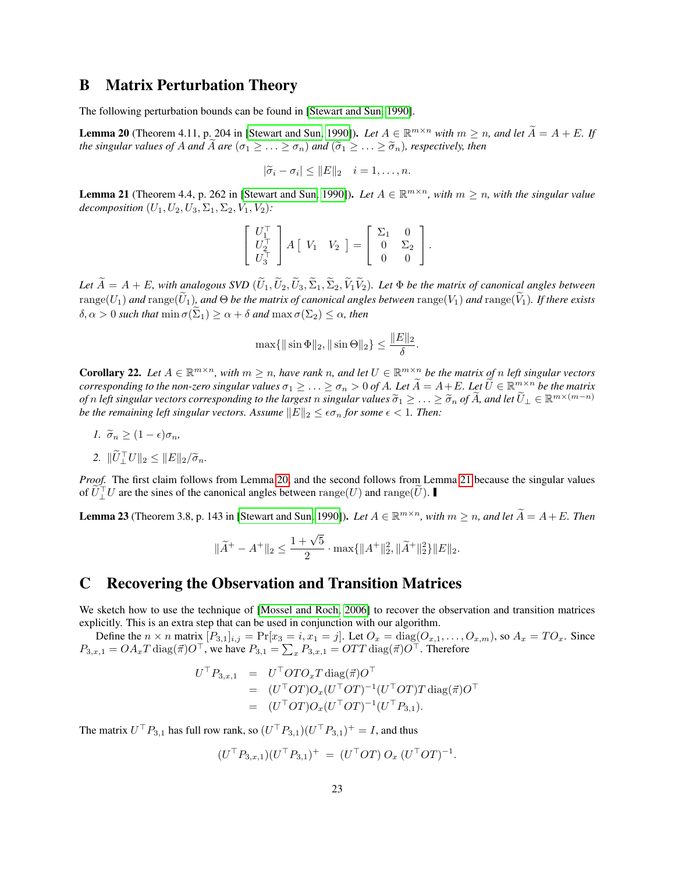# <span id="page-22-1"></span>B Matrix Perturbation Theory

<span id="page-22-4"></span>The following perturbation bounds can be found in [\[Stewart and Sun, 1990\]](#page-20-18).

**Lemma 20** (Theorem 4.11, p. 204 in [\[Stewart and Sun, 1990\]](#page-20-18)). Let  $A \in \mathbb{R}^{m \times n}$  with  $m \ge n$ , and let  $\widetilde{A} = A + E$ . If *the singular values of A and A are*  $(\sigma_1 \geq \ldots \geq \sigma_n)$  *and*  $(\tilde{\sigma}_1 \geq \ldots \geq \tilde{\sigma}_n)$ *, respectively, then* 

$$
|\widetilde{\sigma}_i - \sigma_i| \leq ||E||_2 \quad i = 1, \dots, n.
$$

<span id="page-22-5"></span>**Lemma 21** (Theorem 4.4, p. 262 in [\[Stewart and Sun, 1990\]](#page-20-18)). Let  $A \in \mathbb{R}^{m \times n}$ , with  $m \ge n$ , with the singular value *decomposition*  $(U_1, U_2, U_3, \Sigma_1, \Sigma_2, V_1, V_2)$ *:* 

$$
\left[\begin{array}{c} U_1^\top \\ U_2^\top \\ U_3^\top \end{array}\right] A \left[\begin{array}{cc} V_1 & V_2 \end{array}\right] = \left[\begin{array}{cc} \Sigma_1 & 0 \\ 0 & \Sigma_2 \\ 0 & 0 \end{array}\right].
$$

*Let*  $\widetilde{A} = A + E$ *, with analogous SVD*  $(\widetilde{U}_1, \widetilde{U}_2, \widetilde{U}_3, \widetilde{\Sigma}_1, \widetilde{\Sigma}_2, \widetilde{V}_1 \widetilde{V}_2)$ *. Let*  $\Phi$  *be the matrix of canonical angles between*  $range(U_1)$  and  $range(\widetilde{U}_1)$ , and  $\Theta$  *be the matrix of canonical angles between*  $range(V_1)$  and  $range(\widetilde{V}_1)$ . If there exists  $\delta, \alpha > 0$  *such that*  $\min \sigma(\Sigma_1) \geq \alpha + \delta$  *and*  $\max \sigma(\Sigma_2) \leq \alpha$ *, then* 

$$
\max\{\|\sin \Phi\|_2, \|\sin \Theta\|_2\} \le \frac{\|E\|_2}{\delta}.
$$

<span id="page-22-2"></span>**Corollary 22.** Let  $A \in \mathbb{R}^{m \times n}$ , with  $m \ge n$ , have rank n, and let  $U \in \mathbb{R}^{m \times n}$  be the matrix of n left singular vectors *corresponding to the non-zero singular values*  $\sigma_1 \geq \ldots \geq \sigma_n > 0$  of A. Let  $\widetilde{A} = A + E$ . Let  $\widetilde{U} \in \mathbb{R}^{m \times n}$  be the matrix *of* n left singular vectors corresponding to the largest n singular values  $\widetilde{\sigma}_1 \geq \ldots \geq \widetilde{\sigma}_n$  of  $\widetilde{A}$ , and let  $\widetilde{U}_\perp \in \mathbb{R}^{m \times (m-n)}$ <br>be the remaining left singular vectors. Assume  $\Vert F \Vert_\infty \leq \epsilon \sigma_\infty$ *be the remaining left singular vectors. Assume*  $||E||_2 \leq \epsilon \sigma_n$  *for some*  $\epsilon < 1$ *. Then:* 

*1.*  $\widetilde{\sigma}_n \geq (1 - \epsilon) \sigma_n$ 

2. 
$$
\|\widetilde{U}_{\perp}^{\top}U\|_2 \leq \|E\|_2/\widetilde{\sigma}_n.
$$

*Proof.* The first claim follows from Lemma [20,](#page-22-4) and the second follows from Lemma [21](#page-22-5) because the singular values of  $\widetilde{U}_\perp^\top U$  are the sines of the canonical angles between range(U) and range( $\widetilde{U}$ ).

<span id="page-22-3"></span>**Lemma 23** (Theorem 3.8, p. 143 in [\[Stewart and Sun, 1990\]](#page-20-18)). *Let*  $A \in \mathbb{R}^{m \times n}$ , with  $m \ge n$ , and let  $\widetilde{A} = A + E$ . Then

$$
\|\widetilde{A}^+ - A^+\|_2 \le \frac{1+\sqrt{5}}{2} \cdot \max\{\|A^+\|_2^2, \|\widetilde{A}^+\|_2^2\}\|E\|_2.
$$

# <span id="page-22-0"></span>C Recovering the Observation and Transition Matrices

We sketch how to use the technique of [\[Mossel and Roch, 2006\]](#page-20-13) to recover the observation and transition matrices explicitly. This is an extra step that can be used in conjunction with our algorithm.

Define the  $n \times n$  matrix  $[P_{3,1}]_{i,j} = \Pr[x_3 = i, x_1 = j]$ . Let  $O_x = \text{diag}(O_{x,1}, \ldots, O_{x,m})$ , so  $A_x = TO_x$ . Since  $P_{3,x,1} = OA_xT \operatorname{diag}(\vec{\pi})O^\top$ , we have  $P_{3,1} = \sum_x P_{3,x,1} = OTT \operatorname{diag}(\vec{\pi})O^\top$ . Therefore

$$
U^{\top} P_{3,x,1} = U^{\top} OTO_x T \operatorname{diag}(\vec{\pi}) O^{\top}
$$
  
= 
$$
(U^{\top} OT) O_x (U^{\top} OT)^{-1} (U^{\top} OT) T \operatorname{diag}(\vec{\pi}) O^{\top}
$$
  
= 
$$
(U^{\top} OT) O_x (U^{\top} OT)^{-1} (U^{\top} P_{3,1}).
$$

The matrix  $U^{\top} P_{3,1}$  has full row rank, so  $(U^{\top} P_{3,1})(U^{\top} P_{3,1})^+ = I$ , and thus

$$
(U^{\top} P_{3,x,1})(U^{\top} P_{3,1})^{+} = (U^{\top} OT) O_x (U^{\top} OT)^{-1}.
$$